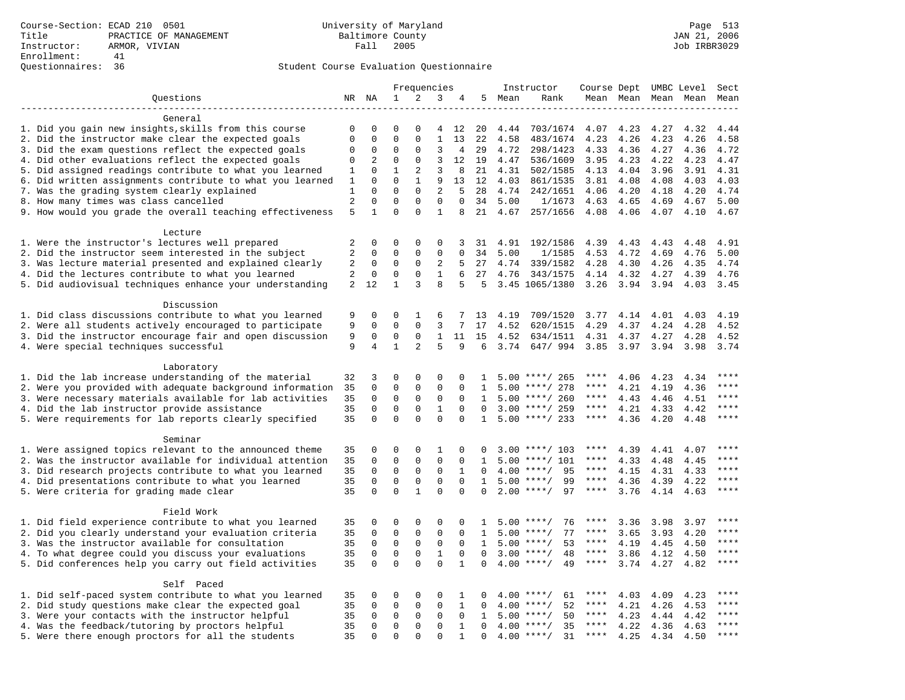|                                                                                                         |                |                |              | Frequencies  |              |                   |              |      | Instructor         | Course Dept UMBC Level |           |      |           | Sect                   |
|---------------------------------------------------------------------------------------------------------|----------------|----------------|--------------|--------------|--------------|-------------------|--------------|------|--------------------|------------------------|-----------|------|-----------|------------------------|
| Questions                                                                                               |                | NR NA          | $\mathbf{1}$ | 2            | 3            | 4                 | 5            | Mean | Rank               |                        | Mean Mean |      | Mean Mean | Mean                   |
|                                                                                                         |                |                |              |              |              |                   |              |      |                    |                        |           |      |           |                        |
| General                                                                                                 |                |                |              |              |              |                   |              |      |                    |                        |           |      |           |                        |
| 1. Did you gain new insights, skills from this course                                                   | 0              | 0              | $\Omega$     | $\Omega$     | 4            | 12                | 20           | 4.44 | 703/1674           | 4.07                   | 4.23      | 4.27 | 4.32      | 4.44                   |
| 2. Did the instructor make clear the expected goals                                                     | $\mathbf 0$    | $\mathbf 0$    | $\mathbf{0}$ | $\mathbf 0$  | $\mathbf{1}$ | 13                | 22           | 4.58 | 483/1674           | 4.23                   | 4.26      | 4.23 | 4.26      | 4.58                   |
| 3. Did the exam questions reflect the expected goals                                                    | $\mathbf 0$    | 0              | $\mathbf 0$  | $\mathbf 0$  | 3            | $\overline{4}$    | 29           | 4.72 | 298/1423           | 4.33                   | 4.36      | 4.27 | 4.36      | 4.72                   |
| 4. Did other evaluations reflect the expected goals                                                     | $\mathbf 0$    | $\overline{2}$ | $\mathbf{0}$ | $\mathbf 0$  | 3            | $12 \overline{ }$ | 19           | 4.47 | 536/1609           | 3.95                   | 4.23      | 4.22 | 4.23      | 4.47                   |
| 5. Did assigned readings contribute to what you learned                                                 | 1              | 0              | $\mathbf{1}$ | 2            | 3            | 8                 | 21           | 4.31 | 502/1585           | 4.13                   | 4.04      | 3.96 | 3.91      | 4.31                   |
| 6. Did written assignments contribute to what you learned                                               | 1              | $\Omega$       | $\Omega$     | $\mathbf{1}$ | 9            | 13                | 12           | 4.03 | 861/1535           | 3.81                   | 4.08      | 4.08 | 4.03      | 4.03                   |
| 7. Was the grading system clearly explained                                                             | 1              | $\Omega$       | $\Omega$     | $\Omega$     | $\mathbf{2}$ | 5                 | 28           | 4.74 | 242/1651           | 4.06                   | 4.20      | 4.18 | 4.20      | 4.74                   |
| 8. How many times was class cancelled                                                                   | $\overline{a}$ | $\mathsf 0$    | $\mathbf{0}$ | $\mathbf 0$  | $\mathbf 0$  | $\mathbf 0$       | 34           | 5.00 | 1/1673             | 4.63                   | 4.65      | 4.69 | 4.67      | 5.00                   |
| 9. How would you grade the overall teaching effectiveness                                               | 5              | $\mathbf{1}$   | $\Omega$     | $\Omega$     | $\mathbf{1}$ | 8                 | 21           | 4.67 | 257/1656           | 4.08                   | 4.06      | 4.07 | 4.10      | 4.67                   |
|                                                                                                         |                |                |              |              |              |                   |              |      |                    |                        |           |      |           |                        |
| Lecture                                                                                                 | 2              | 0              | $\mathbf 0$  | $\mathbf 0$  | $\mathbf 0$  | 3                 | 31           | 4.91 | 192/1586           | 4.39                   | 4.43      | 4.43 | 4.48      | 4.91                   |
| 1. Were the instructor's lectures well prepared<br>2. Did the instructor seem interested in the subject | 2              | 0              | $\mathbf{0}$ | $\mathbf 0$  | $\mathbf{0}$ | $\Omega$          | 34           | 5.00 | 1/1585             | 4.53                   | 4.72      | 4.69 | 4.76      | 5.00                   |
| 3. Was lecture material presented and explained clearly                                                 | 2              | 0              | $\mathbf 0$  | 0            | 2            | 5                 | 27           | 4.74 | 339/1582           | 4.28                   | 4.30      | 4.26 | 4.35      | 4.74                   |
| 4. Did the lectures contribute to what you learned                                                      | 2              | $\mathbf 0$    | $\mathbf{0}$ | $\Omega$     | $\mathbf{1}$ | 6                 | 27           | 4.76 | 343/1575           | 4.14                   | 4.32      | 4.27 | 4.39      | 4.76                   |
| 5. Did audiovisual techniques enhance your understanding                                                | 2              | 12             | $\mathbf{1}$ | 3            | 8            | 5                 | .5           |      | 3.45 1065/1380     | 3.26                   | 3.94      | 3.94 | 4.03      | 3.45                   |
|                                                                                                         |                |                |              |              |              |                   |              |      |                    |                        |           |      |           |                        |
| Discussion                                                                                              |                |                |              |              |              |                   |              |      |                    |                        |           |      |           |                        |
| 1. Did class discussions contribute to what you learned                                                 | 9              | 0              | 0            | 1            | 6            | 7                 | 13           | 4.19 | 709/1520           | 3.77                   | 4.14      | 4.01 | 4.03      | 4.19                   |
| 2. Were all students actively encouraged to participate                                                 | 9              | 0              | $\mathbf 0$  | $\mathbf 0$  | 3            | 7                 | 17           | 4.52 | 620/1515           | 4.29                   | 4.37      | 4.24 | 4.28      | 4.52                   |
| 3. Did the instructor encourage fair and open discussion                                                | 9              | 0              | $\mathbf 0$  | $\mathbf 0$  | 1            | 11                | 15           | 4.52 | 634/1511           | 4.31                   | 4.37      | 4.27 | 4.28      | 4.52                   |
| 4. Were special techniques successful                                                                   | 9              | 4              | $\mathbf{1}$ | 2            | 5            | 9                 | 6            | 3.74 | 647/994            | 3.85                   | 3.97      | 3.94 | 3.98      | 3.74                   |
|                                                                                                         |                |                |              |              |              |                   |              |      |                    |                        |           |      |           |                        |
| Laboratory                                                                                              |                |                |              |              |              |                   |              |      |                    |                        |           |      |           |                        |
| 1. Did the lab increase understanding of the material                                                   | 32             | 3              | $\mathbf 0$  | $\mathbf 0$  | $\mathsf 0$  | $\Omega$          | $\mathbf{1}$ |      | $5.00$ ****/ 265   | ****                   | 4.06      | 4.23 | 4.34      |                        |
| 2. Were you provided with adequate background information                                               | 35             | $\mathbf 0$    | $\mathbf 0$  | $\mathbf 0$  | $\mathsf 0$  | $\mathbf 0$       | 1            | 5.00 | ****/ 278          | ****                   | 4.21      | 4.19 | 4.36      | ****                   |
| 3. Were necessary materials available for lab activities                                                | 35             | $\mathbf 0$    | $\mathbf 0$  | $\mathbf 0$  | $\mathsf 0$  | $\Omega$          | 1            | 5.00 | ****/ 260          | ****                   | 4.43      | 4.46 | 4.51      | $***$                  |
| 4. Did the lab instructor provide assistance                                                            | 35             | $\Omega$       | $\mathbf{0}$ | $\mathbf 0$  | $\mathbf{1}$ | $\Omega$          | $\Omega$     |      | $3.00$ ****/ 259   | ****                   | 4.21      | 4.33 | 4.42      | $\star\star\star\star$ |
| 5. Were requirements for lab reports clearly specified                                                  | 35             | $\mathbf 0$    | $\mathbf 0$  | $\Omega$     | $\Omega$     | $\Omega$          | 1            |      | $5.00$ ****/ 233   | $***$ * *              | 4.36      | 4.20 | 4.48      | ****                   |
|                                                                                                         |                |                |              |              |              |                   |              |      |                    |                        |           |      |           |                        |
| Seminar                                                                                                 |                |                |              |              |              |                   |              |      |                    |                        |           |      |           |                        |
| 1. Were assigned topics relevant to the announced theme                                                 | 35             | 0              | $\mathbf 0$  | $\Omega$     | 1            | $\Omega$          | $\Omega$     |      | $3.00$ ****/ 103   | $***$ * * *            | 4.39      | 4.41 | 4.07      | ****                   |
| 2. Was the instructor available for individual attention                                                | 35             | $\mathbf 0$    | $\mathbf 0$  | $\mathbf 0$  | $\mathbf 0$  | 0                 | $\mathbf{1}$ | 5.00 | ****/ 101          | ****                   | 4.33      | 4.48 | 4.45      | ****                   |
| 3. Did research projects contribute to what you learned                                                 | 35             | $\mathbf 0$    | $\mathbf 0$  | $\mathsf 0$  | $\mathsf 0$  | 1                 | $\Omega$     |      | $4.00$ ****/<br>95 | $***$ * *              | 4.15      | 4.31 | 4.33      | ****                   |
| 4. Did presentations contribute to what you learned                                                     | 35             | $\mathbf 0$    | $\mathsf 0$  | $\mathsf{O}$ | $\mathsf 0$  | $\mathbf 0$       | $\mathbf{1}$ |      | 99<br>$5.00$ ****/ | $***$ * * *            | 4.36      | 4.39 | 4.22      | $***$                  |
| 5. Were criteria for grading made clear                                                                 | 35             | $\Omega$       | $\Omega$     | $\mathbf{1}$ | $\Omega$     | $\Omega$          | $\Omega$     |      | $2.00$ ****/<br>97 | ****                   | 3.76      | 4.14 | 4.63      | ****                   |
|                                                                                                         |                |                |              |              |              |                   |              |      |                    |                        |           |      |           |                        |
| Field Work                                                                                              |                |                |              |              |              |                   |              |      |                    |                        |           |      |           |                        |
| 1. Did field experience contribute to what you learned                                                  | 35             | 0              | $\mathbf 0$  | $\mathbf 0$  | $\mathbf 0$  | 0                 | 1            |      | 76<br>$5.00$ ****/ | ****                   | 3.36      | 3.98 | 3.97      | ****                   |
| 2. Did you clearly understand your evaluation criteria                                                  | 35             | $\mathbf 0$    | $\mathbf{0}$ | $\Omega$     | $\Omega$     | $\Omega$          | $\mathbf{1}$ | 5.00 | 77<br>$***/$       | ****                   | 3.65      | 3.93 | 4.20      | ****                   |
| 3. Was the instructor available for consultation                                                        | 35             | $\mathbf 0$    | $\mathbf 0$  | $\mathbf 0$  | $\mathbf 0$  | $\Omega$          | $\mathbf{1}$ |      | 53<br>$5.00$ ****/ | ****                   | 4.19      | 4.45 | 4.50      | ****                   |
| 4. To what degree could you discuss your evaluations                                                    | 35             | $\mathbf 0$    | $\mathbf{0}$ | $\mathbf 0$  | $\,1\,$      | $\Omega$          | $\Omega$     | 3.00 | $***$ /<br>48      | $***$ * * *            | 3.86      | 4.12 | 4.50      | ****                   |
| 5. Did conferences help you carry out field activities                                                  | 35             | $\Omega$       | $\Omega$     | $\Omega$     | $\Omega$     | $\mathbf{1}$      | $\Omega$     | 4.00 | $***$ /<br>49      | $***$ * *              | 3.74      | 4.27 | 4.82      | $***$                  |
|                                                                                                         |                |                |              |              |              |                   |              |      |                    |                        |           |      |           |                        |
| Self Paced                                                                                              |                |                |              |              |              |                   |              |      |                    |                        |           |      |           | ****                   |
| 1. Did self-paced system contribute to what you learned                                                 | 35             | 0              | 0            | $\mathbf 0$  | $\mathbf 0$  | 1                 | $\Omega$     |      | $4.00$ ****/<br>61 |                        | 4.03      | 4.09 | 4.23      |                        |
| 2. Did study questions make clear the expected goal                                                     | 35             | 0              | $\mathbf 0$  | $\mathbf 0$  | $\mathbf{0}$ | 1                 | 0            | 4.00 | 52<br>$***/$       | ****                   | 4.21      | 4.26 | 4.53      | $***$                  |
| 3. Were your contacts with the instructor helpful                                                       | 35             | 0              | $\mathbf 0$  | $\mathbf 0$  | $\Omega$     | $\Omega$          | $\mathbf{1}$ | 5.00 | 50<br>$***/$       | $***$ * * *            | 4.23      | 4.44 | 4.42      | $***$                  |
| 4. Was the feedback/tutoring by proctors helpful                                                        | 35             | 0              | $\mathbf 0$  | $\mathbf 0$  | $\mathbf{0}$ | $\mathbf{1}$      | $\Omega$     |      | 35<br>$4.00$ ****/ | ****                   | 4.22      | 4.36 | 4.63      | $***$                  |
| 5. Were there enough proctors for all the students                                                      | 35             | $\Omega$       | $\Omega$     | $\Omega$     | $\Omega$     | 1                 | $\Omega$     |      | $4.00$ ****/<br>31 | $***$ * * *            | 4.25      | 4.34 | 4.50      | $***$                  |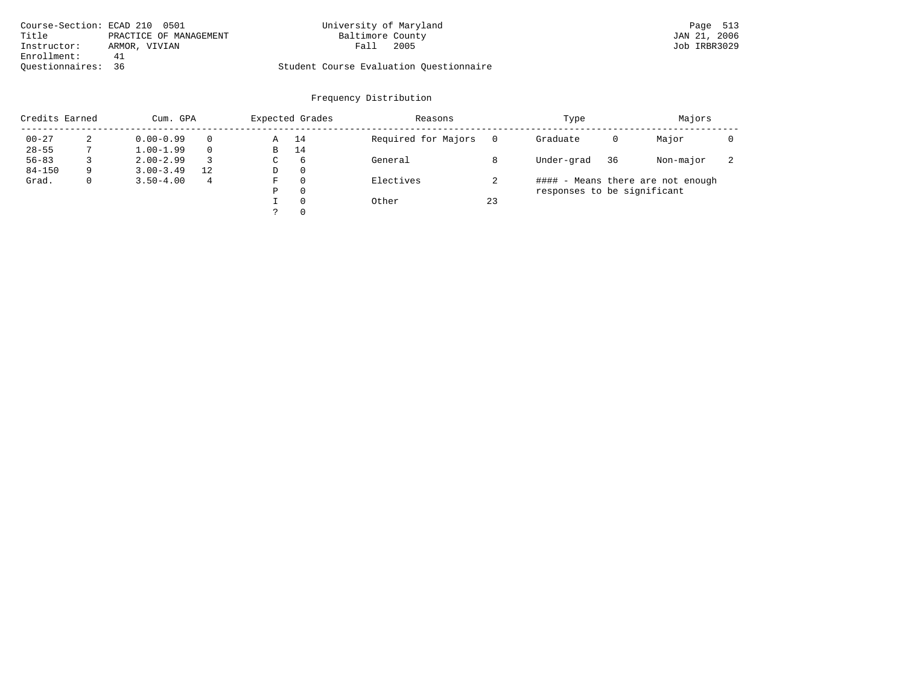| Course-Section: ECAD 210 0501   | University of Maryland                  | Page 513     |
|---------------------------------|-----------------------------------------|--------------|
| Title<br>PRACTICE OF MANAGEMENT | Baltimore County                        | JAN 21, 2006 |
| Instructor:<br>ARMOR, VIVIAN    | 2005<br>Fall                            | Job IRBR3029 |
| Enrollment:<br>41               |                                         |              |
| Ouestionnaires: 36              | Student Course Evaluation Ouestionnaire |              |

# Frequency Distribution

| Credits Earned |   | Cum. GPA      |                |   | Expected Grades | Reasons             |    | Type                        |    | Majors                            |   |
|----------------|---|---------------|----------------|---|-----------------|---------------------|----|-----------------------------|----|-----------------------------------|---|
| $00 - 27$      | 2 | $0.00 - 0.99$ | $\Omega$       | Α | 14              | Required for Majors |    | Graduate                    | 0  | Major                             |   |
| $28 - 55$      |   | $1.00 - 1.99$ | $\Omega$       | В | 14              |                     |    |                             |    |                                   |   |
| $56 - 83$      |   | $2.00 - 2.99$ | 3              | С | 6               | General             |    | Under-grad                  | 36 | Non-major                         | z |
| $84 - 150$     | 9 | $3.00 - 3.49$ | 12             | D | 0               |                     |    |                             |    |                                   |   |
| Grad.          | 0 | $3.50 - 4.00$ | $\overline{4}$ | F | 0               | Electives           |    |                             |    | #### - Means there are not enough |   |
|                |   |               |                | Ρ | 0               |                     |    | responses to be significant |    |                                   |   |
|                |   |               |                |   | $\Omega$        | Other               | 23 |                             |    |                                   |   |
|                |   |               |                | っ | 0               |                     |    |                             |    |                                   |   |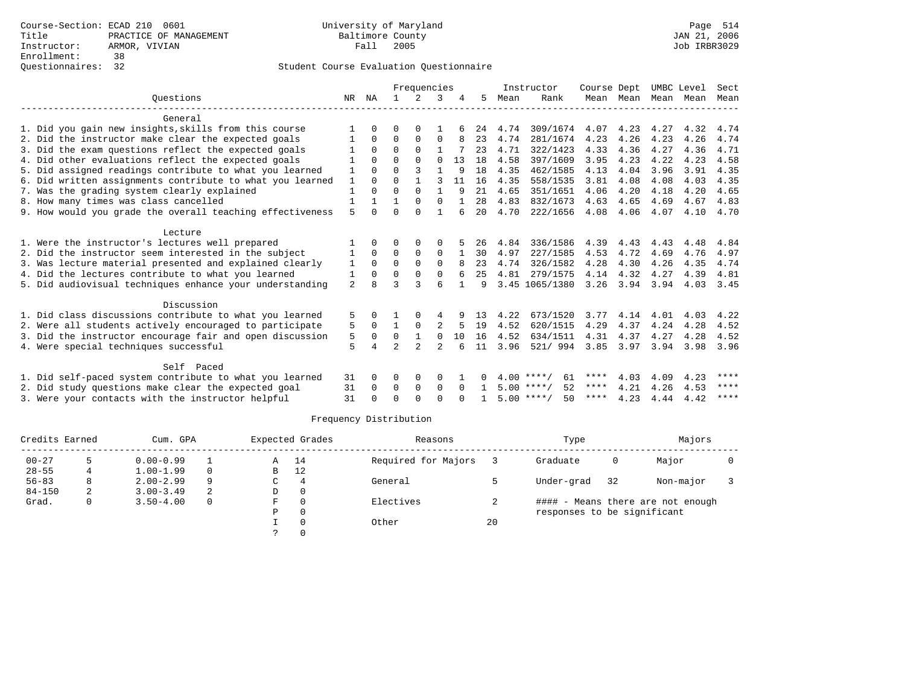| Ouestions |                                                                                                          |              |              |                | Frequencies    |                |          |              |      | Instructor         | Course Dept |               | UMBC Level |              | Sect |
|-----------|----------------------------------------------------------------------------------------------------------|--------------|--------------|----------------|----------------|----------------|----------|--------------|------|--------------------|-------------|---------------|------------|--------------|------|
|           |                                                                                                          |              |              |                | 2              | 3              |          | 5.           | Mean | Rank               | Mean Mean   |               | Mean       | Mean         | Mean |
|           | General                                                                                                  |              |              |                |                |                |          |              |      |                    |             |               |            |              |      |
|           | 1. Did you gain new insights, skills from this course                                                    |              | 0            | 0              | $\Omega$       |                |          | 24           | 4.74 | 309/1674           | 4.07        | 4.23          | 4.27       | 4.32         | 4.74 |
|           | 2. Did the instructor make clear the expected goals                                                      |              | $\Omega$     | $\Omega$       | $\Omega$       | $\Omega$       |          | 23           | 4.74 | 281/1674           | 4.23        | 4.26          | 4.23       | 4.26         | 4.74 |
|           | 3. Did the exam questions reflect the expected goals                                                     |              | $\Omega$     | $\Omega$       | $\Omega$       | $\mathbf{1}$   |          | 23           | 4.71 | 322/1423           | 4.33        | 4.36          | 4.27       | 4.36         | 4.71 |
|           | 4. Did other evaluations reflect the expected goals                                                      |              | $\Omega$     | $\Omega$       | $\Omega$       | $\Omega$       | 13       | 18           | 4.58 | 397/1609           | 3.95        | 4.23          | 4.22       | 4.23         | 4.58 |
|           | 5. Did assigned readings contribute to what you learned                                                  | 1            | $\Omega$     | 0              | 3              |                | 9        | 18           | 4.35 | 462/1585           | 4.13        | 4.04          | 3.96       | 3.91         | 4.35 |
|           | 6. Did written assignments contribute to what you learned                                                | 1            | $\Omega$     | U              |                | 3              | -11      | 16           | 4.35 | 558/1535           | 3.81        | 4.08          | 4.08       | 4.03         | 4.35 |
|           | 7. Was the grading system clearly explained                                                              | 1            | $\Omega$     | $\Omega$       | $\Omega$       | $\mathbf{1}$   | 9        | 21           | 4.65 | 351/1651           | 4.06        | 4.20          | 4.18       | 4.20         | 4.65 |
|           | 8. How many times was class cancelled                                                                    | $\mathbf{1}$ | $\mathbf{1}$ | 1              | $\Omega$       | $\Omega$       | -1       | 28           | 4.83 | 832/1673           | 4.63        | 4.65          | 4.69       | 4.67         | 4.83 |
|           | 9. How would you grade the overall teaching effectiveness                                                | 5            | $\cap$       | U              | $\cap$         |                | 6        | 20           | 4.70 | 222/1656           | 4.08        | 4.06          | 4.07       | 4.10         | 4.70 |
|           | Lecture                                                                                                  |              |              |                |                |                |          |              |      |                    |             |               |            |              |      |
|           | 1. Were the instructor's lectures well prepared                                                          |              | 0            |                | 0              |                |          | 26           | 4.84 | 336/1586           | 4.39        | 4.43          | 4.43       | 4.48         | 4.84 |
|           | 2. Did the instructor seem interested in the subject                                                     | 1            | $\Omega$     | 0              | $\Omega$       | $\Omega$       |          | 30           | 4.97 | 227/1585           | 4.53        | 4.72          | 4.69       | 4.76         | 4.97 |
|           | 3. Was lecture material presented and explained clearly                                                  | 1            | $\Omega$     | $\Omega$       | $\Omega$       | $\Omega$       | 8        | 23           | 4.74 | 326/1582           | 4.28        | 4.30          | 4.26       | 4.35         | 4.74 |
|           | 4. Did the lectures contribute to what you learned                                                       | 1            | $\Omega$     | $\Omega$       | $\Omega$       | $\Omega$       | 6        | 25           | 4.81 | 279/1575           | 4.14        | 4.32          | 4.27       | 4.39         | 4.81 |
|           | 5. Did audiovisual techniques enhance your understanding                                                 | 2            |              |                |                | 6              |          | 9            |      | 3.45 1065/1380     |             | $3.26$ $3.94$ | 3.94       | 4.03         | 3.45 |
|           | Discussion                                                                                               |              |              |                |                |                |          |              |      |                    |             |               |            |              |      |
|           | 1. Did class discussions contribute to what you learned                                                  | 5            | 0            |                |                | 4              |          | 13           | 4.22 | 673/1520           | 3.77        | 4.14          | 4.01       | 4.03         | 4.22 |
|           | 2. Were all students actively encouraged to participate                                                  | 5            | $\Omega$     | 1              | $\mathbf 0$    |                | -5       | 19           | 4.52 | 620/1515           | 4.29        | 4.37          | 4.24       | 4.28         | 4.52 |
|           | 3. Did the instructor encourage fair and open discussion                                                 | 5            | $\Omega$     | 0              | $\mathbf{1}$   | $\Omega$       | 10       | 16           | 4.52 | 634/1511           | 4.31        | 4.37          | 4.27       | 4.28         | 4.52 |
|           | 4. Were special techniques successful                                                                    | 5            | 4            | $\mathfrak{D}$ | $\mathfrak{D}$ | $\mathfrak{D}$ | 6        | 11           | 3.96 | 521/994            | 3.85        | 3.97          | 3.94       | 3.98         | 3.96 |
|           | Self Paced                                                                                               |              |              |                |                |                |          |              |      |                    |             |               |            |              |      |
|           |                                                                                                          |              | $\Omega$     |                |                |                |          |              |      | $4.00$ ****/<br>61 | ****        | 4.03          | 4.09       |              | **** |
|           | 1. Did self-paced system contribute to what you learned                                                  | 31           | $\Omega$     | 0<br>0         | 0<br>$\Omega$  | 0<br>$\Omega$  | $\Omega$ | $\mathbf{1}$ |      | $5.00$ ****/<br>52 | ****        | 4.21          | 4.26       | 4.23         | **** |
|           | 2. Did study questions make clear the expected goal<br>3. Were your contacts with the instructor helpful | 31<br>31     |              | U              | $\Omega$       | $\Omega$       |          |              |      | $5.00$ ****/<br>50 | ****        | 4.23          | 4.44       | 4.53<br>4.42 | **** |
|           |                                                                                                          |              |              |                |                |                |          |              |      |                    |             |               |            |              |      |

| Credits Earned |              | Cum. GPA      |          |    | Expected Grades | Reasons             |    | Type                        |    | Majors                            |  |
|----------------|--------------|---------------|----------|----|-----------------|---------------------|----|-----------------------------|----|-----------------------------------|--|
| $00 - 27$      |              | $0.00 - 0.99$ |          | Α  | 14              | Required for Majors |    | Graduate                    | 0  | Major                             |  |
| $28 - 55$      | 4            | $1.00 - 1.99$ | $\Omega$ | в  | 12              |                     |    |                             |    |                                   |  |
| $56 - 83$      | 8            | $2.00 - 2.99$ | 9        | C  | 4               | General             |    | Under-grad                  | 32 | Non-major                         |  |
| $84 - 150$     | 2            | $3.00 - 3.49$ | 2        | D  | $\Omega$        |                     |    |                             |    |                                   |  |
| Grad.          | $\mathbf{0}$ | $3.50 - 4.00$ | $\Omega$ | F. | $\Omega$        | Electives           | z. |                             |    | #### - Means there are not enough |  |
|                |              |               |          | Ρ  | $\Omega$        |                     |    | responses to be significant |    |                                   |  |
|                |              |               |          |    |                 | Other               | 20 |                             |    |                                   |  |
|                |              |               |          |    |                 |                     |    |                             |    |                                   |  |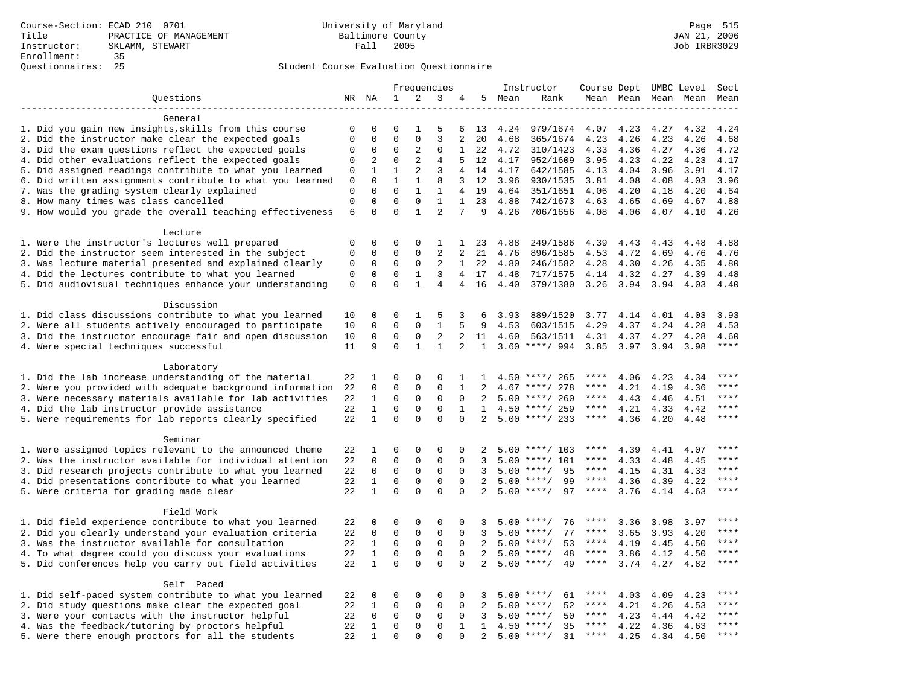|                                                                                                               |             |              |              |              | Frequencies    |                |              |              | Instructor           | Course Dept UMBC Level |                     |              |              | Sect         |
|---------------------------------------------------------------------------------------------------------------|-------------|--------------|--------------|--------------|----------------|----------------|--------------|--------------|----------------------|------------------------|---------------------|--------------|--------------|--------------|
| Questions                                                                                                     |             | NR NA        | $\mathbf 1$  | 2            | 3              | 4              | 5            | Mean         | Rank                 |                        | Mean Mean Mean Mean |              |              | Mean         |
|                                                                                                               |             |              |              |              |                |                |              |              |                      |                        |                     |              |              |              |
| General                                                                                                       |             |              |              |              |                |                |              |              |                      |                        |                     |              |              |              |
| 1. Did you gain new insights, skills from this course                                                         | 0           | 0            | $\Omega$     | 1            | 5              | 6              | 13           | 4.24         | 979/1674             | 4.07                   | 4.23                | 4.27         | 4.32         | 4.24         |
| 2. Did the instructor make clear the expected goals                                                           | $\mathbf 0$ | $\mathbf 0$  | $\Omega$     | $\mathbf 0$  | 3              | 2              | 20           | 4.68         | 365/1674             | 4.23                   | 4.26                | 4.23         | 4.26         | 4.68         |
| 3. Did the exam questions reflect the expected goals                                                          | $\mathbf 0$ | 0            | $\Omega$     | 2            | $\Omega$       | 1              | 22           | 4.72         | 310/1423             | 4.33                   | 4.36                | 4.27         | 4.36         | 4.72         |
| 4. Did other evaluations reflect the expected goals                                                           | $\Omega$    | 2            | $\Omega$     | 2            | $\overline{4}$ | 5              | 12           | 4.17         | 952/1609             | 3.95                   | 4.23                | 4.22         | 4.23         | 4.17         |
| 5. Did assigned readings contribute to what you learned                                                       | $\mathsf 0$ | $\mathbf{1}$ | $\mathbf{1}$ | 2            | 3              | $\overline{4}$ | 14           | 4.17         | 642/1585             | 4.13                   | 4.04                | 3.96         | 3.91         | 4.17         |
| 6. Did written assignments contribute to what you learned                                                     | $\mathbf 0$ | $\mathbf 0$  | $\mathbf{1}$ | $\mathbf{1}$ | 8              | 3              | 12           | 3.96         | 930/1535             | 3.81                   | 4.08                | 4.08         | 4.03         | 3.96         |
| 7. Was the grading system clearly explained                                                                   | $\mathbf 0$ | $\Omega$     | $\Omega$     | $\mathbf{1}$ | 1              | 4              | 19           | 4.64         | 351/1651             | 4.06                   | 4.20                | 4.18         | 4.20         | 4.64         |
| 8. How many times was class cancelled                                                                         | $\mathbf 0$ | $\mathbf 0$  | $\mathbf{0}$ | $\mathbf 0$  | 1              | $\mathbf{1}$   | 23           | 4.88         | 742/1673             | 4.63                   | 4.65                | 4.69         | 4.67         | 4.88         |
| 9. How would you grade the overall teaching effectiveness                                                     | 6           | $\Omega$     | $\Omega$     | $\mathbf{1}$ | $\overline{a}$ | 7              | 9            | 4.26         | 706/1656             | 4.08                   | 4.06                | 4.07         | 4.10         | 4.26         |
|                                                                                                               |             |              |              |              |                |                |              |              |                      |                        |                     |              |              |              |
| Lecture                                                                                                       | $\mathbf 0$ | $\mathbf 0$  | 0            | $\mathbf 0$  | 1              | $\mathbf{1}$   |              | 4.88         |                      |                        |                     | 4.43         | 4.48         | 4.88         |
| 1. Were the instructor's lectures well prepared<br>2. Did the instructor seem interested in the subject       |             |              | $\mathbf 0$  | $\mathbf 0$  | $\overline{2}$ | 2              | 23           |              | 249/1586             | 4.39                   | 4.43                |              |              |              |
|                                                                                                               | 0<br>0      | 0<br>0       | 0            | 0            | 2              | $\mathbf{1}$   | 21<br>22     | 4.76<br>4.80 | 896/1585<br>246/1582 | 4.53<br>4.28           | 4.72<br>4.30        | 4.69         | 4.76         | 4.76<br>4.80 |
| 3. Was lecture material presented and explained clearly<br>4. Did the lectures contribute to what you learned | $\mathbf 0$ | $\mathbf 0$  | $\mathbf{0}$ | $\mathbf{1}$ | 3              |                | 4 17         | 4.48         | 717/1575             | 4.14                   | 4.32                | 4.26<br>4.27 | 4.35<br>4.39 | 4.48         |
| 5. Did audiovisual techniques enhance your understanding                                                      | $\mathbf 0$ | $\Omega$     | $\Omega$     | $\mathbf{1}$ | $\overline{4}$ | 4              | 16           | 4.40         | 379/1380             | 3.26                   | 3.94                | 3.94         | 4.03         | 4.40         |
|                                                                                                               |             |              |              |              |                |                |              |              |                      |                        |                     |              |              |              |
| Discussion                                                                                                    |             |              |              |              |                |                |              |              |                      |                        |                     |              |              |              |
| 1. Did class discussions contribute to what you learned                                                       | 10          | $\mathbf 0$  | $\mathbf{0}$ | 1            | 5              | 3              | 6            | 3.93         | 889/1520             | 3.77                   | 4.14                | 4.01         | 4.03         | 3.93         |
| 2. Were all students actively encouraged to participate                                                       | 10          | $\mathbf 0$  | $\mathbf{0}$ | $\mathbf 0$  | $\mathbf{1}$   |                | 9            | 4.53         | 603/1515             | 4.29                   | 4.37                | 4.24         | 4.28         | 4.53         |
| 3. Did the instructor encourage fair and open discussion                                                      | 10          | 0            | $\mathbf 0$  | $\mathbf 0$  | 2              | 2              | 11           | 4.60         | 563/1511             | 4.31                   | 4.37                | 4.27         | 4.28         | 4.60         |
| 4. Were special techniques successful                                                                         | 11          | 9            | $\Omega$     | $\mathbf{1}$ | $\mathbf{1}$   | $\overline{2}$ | 1            |              | $3.60$ ****/ 994     | 3.85                   | 3.97                | 3.94         | 3.98         | $***$        |
|                                                                                                               |             |              |              |              |                |                |              |              |                      |                        |                     |              |              |              |
| Laboratory                                                                                                    |             |              |              |              |                |                |              |              |                      |                        |                     |              |              |              |
| 1. Did the lab increase understanding of the material                                                         | 22          | 1            | $\mathbf 0$  | $\mathsf 0$  | 0              | $\mathbf{1}$   | п.           |              | $4.50$ ****/ 265     | ****                   | 4.06                | 4.23         | 4.34         |              |
| 2. Were you provided with adequate background information                                                     | 22          | $\mathbf 0$  | $\mathbf 0$  | $\mathbf 0$  | $\mathbf 0$    | $\mathbf{1}$   | 2            | 4.67         | ****/ 278            | ****                   | 4.21                | 4.19         | 4.36         | ****         |
| 3. Were necessary materials available for lab activities                                                      | 22          | $\mathbf{1}$ | $\mathbf 0$  | $\mathbf 0$  | 0              | $\Omega$       | 2            |              | $5.00$ ****/ 260     | ****                   | 4.43                | 4.46         | 4.51         | ****         |
| 4. Did the lab instructor provide assistance                                                                  | 22          | $\mathbf{1}$ | $\Omega$     | $\Omega$     | $\Omega$       | 1              | $\mathbf{1}$ |              | $4.50$ ****/ 259     | ****                   | 4.21                | 4.33         | 4.42         | ****         |
| 5. Were requirements for lab reports clearly specified                                                        | 22          | $\mathbf{1}$ | $\Omega$     | $\Omega$     | $\Omega$       | $\Omega$       | 2            |              | $5.00$ ****/ 233     | $***$ * * *            | 4.36                | 4.20         | 4.48         | $* * * *$    |
|                                                                                                               |             |              |              |              |                |                |              |              |                      |                        |                     |              |              |              |
| Seminar                                                                                                       |             |              |              |              |                |                |              |              |                      |                        |                     |              |              |              |
| 1. Were assigned topics relevant to the announced theme                                                       | 22          | 1            | $\mathbf{0}$ | $\mathbf 0$  | 0              | $\mathbf 0$    | 2            |              | $5.00$ ****/ 103     | ****                   | 4.39                | 4.41         | 4.07         | $***$        |
| 2. Was the instructor available for individual attention                                                      | 22          | $\mathbf 0$  | $\mathbf 0$  | $\mathbf 0$  | $\mathbf{0}$   | $\mathbf 0$    | 3            | 5.00         | ****/ 101            | ****                   | 4.33                | 4.48         | 4.45         |              |
| 3. Did research projects contribute to what you learned                                                       | 22          | $\mathbf 0$  | $\mathbf 0$  | $\mathbf 0$  | $\mathbf{0}$   | $\mathbf 0$    | 3            | 5.00         | $***/$<br>95         | ****                   | 4.15                | 4.31         | 4.33         | ****         |
| 4. Did presentations contribute to what you learned                                                           | 22          | $\mathbf{1}$ | $\mathbf{0}$ | 0            | $\mathbf 0$    | $\Omega$       | 2            | 5.00         | $***$ /<br>99        | $***$ * * *            | 4.36                | 4.39         | 4.22         | $***$        |
| 5. Were criteria for grading made clear                                                                       | 22          | $\mathbf{1}$ | $\Omega$     | $\Omega$     | $\Omega$       | $\Omega$       | 2            |              | $5.00$ ****/<br>97   | ****                   | 3.76                | 4.14         | 4.63         | ****         |
|                                                                                                               |             |              |              |              |                |                |              |              |                      |                        |                     |              |              |              |
| Field Work                                                                                                    |             |              |              |              |                |                |              |              |                      |                        |                     |              |              |              |
| 1. Did field experience contribute to what you learned                                                        | 22          | $\mathbf 0$  | $\mathbf 0$  | $\mathbf 0$  | 0              | $\mathbf 0$    | 3            |              | $5.00$ ****/<br>76   | ****                   | 3.36                | 3.98         | 3.97         |              |
| 2. Did you clearly understand your evaluation criteria                                                        | 22          | $\mathbf 0$  | $\mathbf 0$  | $\mathbf 0$  | $\mathbf 0$    | $\Omega$       | 3            | 5.00         | 77<br>$***$ /        | ****                   | 3.65                | 3.93         | 4.20         | ****         |
| 3. Was the instructor available for consultation                                                              | 22          | $\mathbf{1}$ | $\mathbf 0$  | $\mathbf 0$  | $\mathbf 0$    | 0              | 2            |              | $5.00$ ****/<br>53   | ****                   | 4.19                | 4.45         | 4.50         | ****         |
| 4. To what degree could you discuss your evaluations                                                          | 22          | $\mathbf{1}$ | $\mathbf 0$  | $\mathbf 0$  | $\mathsf 0$    | $\Omega$       | 2            | 5.00         | $***$ /<br>48        | $***$ * *              | 3.86                | 4.12         | 4.50         | $***$        |
| 5. Did conferences help you carry out field activities                                                        | 22          | $\mathbf{1}$ | $\Omega$     | $\Omega$     | $\Omega$       | $\Omega$       | 2            | 5.00         | $***$ /<br>49        | $***$ * *              | 3.74                | 4.27         | 4.82         | ****         |
|                                                                                                               |             |              |              |              |                |                |              |              |                      |                        |                     |              |              |              |
| Self Paced                                                                                                    |             |              |              |              |                |                |              |              |                      |                        |                     |              |              | ****         |
| 1. Did self-paced system contribute to what you learned                                                       | 22          | 0            | $\mathbf 0$  | $\mathbf 0$  | $\mathbf 0$    | $\mathbf 0$    | 3            | 5.00         | $***$ /<br>61        | ****<br>$***$ * * *    | 4.03                | 4.09         | 4.23         | ****         |
| 2. Did study questions make clear the expected goal                                                           | 22          | 1            | $\mathbf{0}$ | $\mathbf 0$  | $\mathbf 0$    | 0              | 2            | 5.00         | $***$ /<br>52        |                        | 4.21                | 4.26         | 4.53         | ****         |
| 3. Were your contacts with the instructor helpful                                                             | 22          | $\Omega$     | $\mathbf{0}$ | $\Omega$     | $\Omega$       | $\Omega$       | 3            | 5.00         | $***$ /<br>50        | ****                   | 4.23                | 4.44         | 4.42         | ****         |
| 4. Was the feedback/tutoring by proctors helpful                                                              | 22          | $\mathbf{1}$ | $\mathbf{0}$ | $\mathbf 0$  | $\mathbf{0}$   | $\mathbf 1$    | 1            |              | 35<br>$4.50$ ****/   | ****                   | 4.22                | 4.36         | 4.63         | $***$        |
| 5. Were there enough proctors for all the students                                                            | 22          | $\mathbf{1}$ | $\Omega$     | $\Omega$     | $\Omega$       | $\Omega$       | 2            |              | $5.00$ ****/<br>31   | $***$ * *              | 4.25                | 4.34         | 4.50         |              |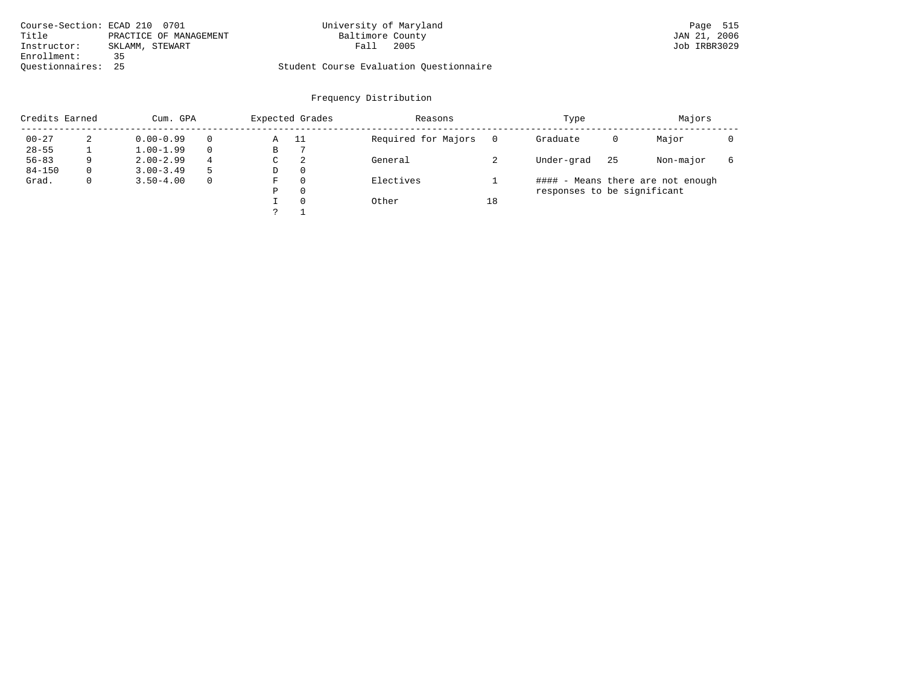| Course-Section: ECAD 210 0701 |                        | University of Maryland                  | Page 515     |
|-------------------------------|------------------------|-----------------------------------------|--------------|
| Title                         | PRACTICE OF MANAGEMENT | Baltimore County                        | JAN 21, 2006 |
| Instructor:                   | SKLAMM, STEWART        | 2005<br>Fall                            | Job IRBR3029 |
| Enrollment:                   | 35                     |                                         |              |
| Ouestionnaires: 25            |                        | Student Course Evaluation Ouestionnaire |              |

| Credits Earned |          | Cum. GPA      |              | Expected Grades |      | Reasons             |    | Type                        |    | Majors                            |  |  |
|----------------|----------|---------------|--------------|-----------------|------|---------------------|----|-----------------------------|----|-----------------------------------|--|--|
| $00 - 27$      | 2        | $0.00 - 0.99$ | $\Omega$     | Α               | - 11 | Required for Majors |    | Graduate                    | 0  | Major                             |  |  |
| $28 - 55$      |          | $1.00 - 1.99$ | $\Omega$     | В               |      |                     |    |                             |    |                                   |  |  |
| $56 - 83$      | 9        | $2.00 - 2.99$ | 4            | С               | 2    | General             |    | Under-grad                  | 25 | Non-major                         |  |  |
| $84 - 150$     | $\Omega$ | $3.00 - 3.49$ | -5           | D               | 0    |                     |    |                             |    |                                   |  |  |
| Grad.          | 0        | $3.50 - 4.00$ | $\mathbf{0}$ | F               | 0    | Electives           |    |                             |    | #### - Means there are not enough |  |  |
|                |          |               |              | Ρ               | 0    |                     |    | responses to be significant |    |                                   |  |  |
|                |          |               |              |                 | 0    | Other               | 18 |                             |    |                                   |  |  |
|                |          |               |              |                 |      |                     |    |                             |    |                                   |  |  |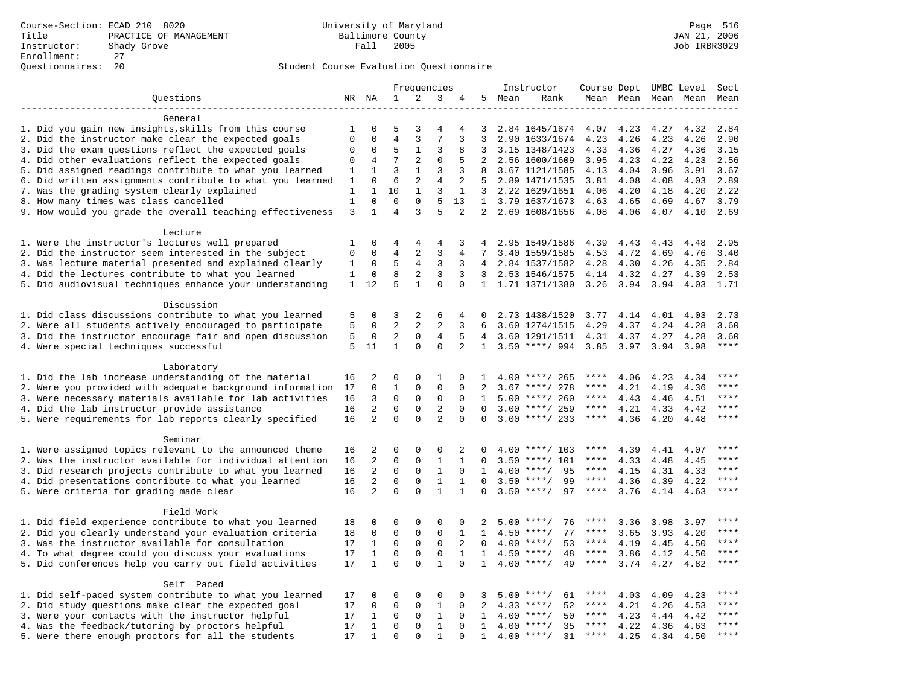|                                                           |              |                  |                |                     | Frequencies    |                |                |      | Instructor         | Course Dept UMBC Level |      |                     |              | Sect         |
|-----------------------------------------------------------|--------------|------------------|----------------|---------------------|----------------|----------------|----------------|------|--------------------|------------------------|------|---------------------|--------------|--------------|
| Questions                                                 |              | NR NA            | $\mathbf 1$    | 2                   | 3              | 4              | 5              | Mean | Rank               |                        |      | Mean Mean Mean Mean |              | Mean         |
|                                                           |              |                  |                |                     |                |                |                |      |                    |                        |      |                     |              |              |
| General                                                   |              |                  |                |                     |                |                |                |      |                    |                        |      |                     |              |              |
| 1. Did you gain new insights, skills from this course     | 1            | 0                | 5              | 3                   | 4              | 4              | 3              |      | 2.84 1645/1674     | 4.07                   | 4.23 | 4.27                | 4.32         | 2.84         |
| 2. Did the instructor make clear the expected goals       | $\mathbf 0$  | $\mathbf 0$      | $\overline{4}$ | 3                   | 7              | 3              | 3              |      | 2.90 1633/1674     | 4.23                   | 4.26 | 4.23                | 4.26         | 2.90         |
| 3. Did the exam questions reflect the expected goals      | $\mathbf 0$  | $\Omega$         | 5              | $\mathbf{1}$        | 3              | 8              | 3              |      | 3.15 1348/1423     | 4.33                   | 4.36 | 4.27                | 4.36         | 3.15         |
| 4. Did other evaluations reflect the expected goals       | $\mathbf 0$  | $\overline{4}$   | 7              | 2                   | $\mathbf 0$    | 5              | $\overline{2}$ |      | 2.56 1600/1609     | 3.95                   | 4.23 | 4.22                | 4.23         | 2.56         |
| 5. Did assigned readings contribute to what you learned   | 1            | $\mathbf{1}$     | $\overline{3}$ | $\mathbf{1}$        | 3              | 3              | 8              |      | 3.67 1121/1585     | 4.13                   | 4.04 | 3.96                | 3.91         | 3.67         |
| 6. Did written assignments contribute to what you learned | 1            | $\mathbf 0$      | 6              | $\overline{a}$      | $\overline{4}$ | 2              |                |      | 2.89 1471/1535     | 3.81                   | 4.08 | 4.08                | 4.03         | 2.89         |
| 7. Was the grading system clearly explained               | 1            | $\mathbf{1}$     | 10             | $\mathbf{1}$        | 3              | $\mathbf{1}$   | 3              |      | 2.22 1629/1651     | 4.06                   | 4.20 | 4.18                | 4.20         | 2.22         |
| 8. How many times was class cancelled                     | $\mathbf{1}$ | $\mathbf 0$      | $\Omega$       | $\mathbf 0$         | 5              | 13             | 1              |      | 3.79 1637/1673     | 4.63                   | 4.65 | 4.69                | 4.67         | 3.79         |
| 9. How would you grade the overall teaching effectiveness | 3            | $\mathbf{1}$     | $\overline{4}$ | 3                   | 5              | $\overline{2}$ |                |      | 2 2.69 1608/1656   | 4.08                   | 4.06 | 4.07                | 4.10         | 2.69         |
|                                                           |              |                  |                |                     |                |                |                |      |                    |                        |      |                     |              |              |
| Lecture                                                   |              |                  |                |                     |                |                |                |      |                    |                        |      |                     |              |              |
| 1. Were the instructor's lectures well prepared           | 1            | 0                | 4              | 4                   | 4<br>3         | 3              | 7              |      | 2.95 1549/1586     | 4.39                   | 4.43 | 4.43                | 4.48         | 2.95         |
| 2. Did the instructor seem interested in the subject      | $\mathbf 0$  | 0                | $\overline{4}$ | 2                   |                | 4<br>3         |                |      | 3.40 1559/1585     | 4.53                   | 4.72 | 4.69                | 4.76         | 3.40         |
| 3. Was lecture material presented and explained clearly   | 1<br>1       | 0<br>$\mathbf 0$ | 5<br>8         | $\overline{4}$<br>2 | 3<br>3         | 3              | 4<br>3         |      | 2.84 1537/1582     | 4.28                   | 4.30 | 4.26                | 4.35<br>4.39 | 2.84<br>2.53 |
| 4. Did the lectures contribute to what you learned        | $\mathbf{1}$ | 12               | 5              | $\mathbf{1}$        | $\mathbf 0$    | $\mathbf 0$    |                |      | 2.53 1546/1575     | 4.14                   | 4.32 | 4.27                |              | 1.71         |
| 5. Did audiovisual techniques enhance your understanding  |              |                  |                |                     |                |                |                |      | 1 1.71 1371/1380   | 3.26                   | 3.94 | 3.94                | 4.03         |              |
| Discussion                                                |              |                  |                |                     |                |                |                |      |                    |                        |      |                     |              |              |
| 1. Did class discussions contribute to what you learned   | 5            | 0                | 3              | 2                   | 6              | 4              | $\Omega$       |      | 2.73 1438/1520     | 3.77                   | 4.14 | 4.01                | 4.03         | 2.73         |
| 2. Were all students actively encouraged to participate   | 5            | $\mathbf 0$      | 2              | 2                   | 2              | 3              | 6              |      | 3.60 1274/1515     | 4.29                   | 4.37 | 4.24                | 4.28         | 3.60         |
| 3. Did the instructor encourage fair and open discussion  | 5            | 0                | $\overline{2}$ | $\mathbf 0$         | 4              | 5              | 4              |      | 3.60 1291/1511     | 4.31                   | 4.37 | 4.27                | 4.28         | 3.60         |
| 4. Were special techniques successful                     | 5            | 11               | $\mathbf{1}$   | $\Omega$            | $\Omega$       | $\overline{2}$ | 1              |      | $3.50$ ****/ 994   | 3.85                   | 3.97 | 3.94                | 3.98         | ****         |
|                                                           |              |                  |                |                     |                |                |                |      |                    |                        |      |                     |              |              |
| Laboratory                                                |              |                  |                |                     |                |                |                |      |                    |                        |      |                     |              |              |
| 1. Did the lab increase understanding of the material     | 16           | 2                | $\mathbf 0$    | $\mathbf 0$         | 1              | 0              | $\mathbf{1}$   |      | $4.00$ ****/ 265   | ****                   | 4.06 | 4.23                | 4.34         |              |
| 2. Were you provided with adequate background information | 17           | $\mathbf 0$      | $\mathbf{1}$   | $\mathbf 0$         | $\mathbf{0}$   | $\Omega$       | 2              |      | $3.67$ ****/ 278   | ****                   | 4.21 | 4.19                | 4.36         | ****         |
| 3. Were necessary materials available for lab activities  | 16           | 3                | $\Omega$       | $\Omega$            | $\Omega$       | $\Omega$       | $\mathbf{1}$   |      | $5.00$ ****/ 260   | $***$ * * *            | 4.43 | 4.46                | 4.51         | $***$        |
| 4. Did the lab instructor provide assistance              | 16           | 2                | $\mathbf 0$    | $\mathbf 0$         | $\overline{2}$ | $\mathbf 0$    | $\Omega$       |      | $3.00$ ****/ 259   | $***$ * * *            | 4.21 | 4.33                | 4.42         | $***$        |
| 5. Were requirements for lab reports clearly specified    | 16           | $\overline{2}$   | $\mathbf 0$    | $\Omega$            | $\overline{2}$ | $\Omega$       | $\Omega$       |      | $3.00$ ****/ 233   | $***$ * * *            | 4.36 | 4.20                | 4.48         | ****         |
|                                                           |              |                  |                |                     |                |                |                |      |                    |                        |      |                     |              |              |
| Seminar                                                   |              |                  |                |                     |                |                |                |      |                    |                        |      |                     |              |              |
| 1. Were assigned topics relevant to the announced theme   | 16           | 2                | $\mathbf{0}$   | $\mathbf 0$         | $\mathbf 0$    | 2              |                |      | $4.00$ ****/ 103   | $***$ * * *            | 4.39 | 4.41                | 4.07         | ****         |
| 2. Was the instructor available for individual attention  | 16           | 2                | $\mathbf 0$    | $\mathbf 0$         | $\mathbf{1}$   | $\mathbf 1$    | $\Omega$       | 3.50 | $***/101$          | ****                   | 4.33 | 4.48                | 4.45         | ****         |
| 3. Did research projects contribute to what you learned   | 16           | 2                | $\mathsf 0$    | $\mathsf 0$         | $\mathbf{1}$   | $\mathbf 0$    | 1              |      | $4.00$ ****/<br>95 | $***$ * * *            | 4.15 | 4.31                | 4.33         | ****         |
| 4. Did presentations contribute to what you learned       | 16           | 2                | $\mathsf 0$    | $\mathbf 0$         | $\mathbf{1}$   | $\mathbf{1}$   | $\Omega$       | 3.50 | 99<br>$***/$       | $***$ * * *            | 4.36 | 4.39                | 4.22         | $***$        |
| 5. Were criteria for grading made clear                   | 16           | $\overline{2}$   | $\Omega$       | $\Omega$            | $\mathbf{1}$   | $\mathbf 1$    | $\Omega$       |      | $3.50$ ****/<br>97 | $***$ * * *            | 3.76 | 4.14                | 4.63         | $***$        |
|                                                           |              |                  |                |                     |                |                |                |      |                    |                        |      |                     |              |              |
| Field Work                                                |              |                  |                |                     |                |                |                |      |                    |                        |      |                     |              |              |
| 1. Did field experience contribute to what you learned    | 18           | 0                | $\mathbf 0$    | $\Omega$            | $\Omega$       | $\Omega$       | 2              |      | $5.00$ ****/<br>76 | ****                   | 3.36 | 3.98                | 3.97         | * * * *      |
| 2. Did you clearly understand your evaluation criteria    | 18           | $\Omega$         | $\mathsf 0$    | $\Omega$            | $\Omega$       | $\mathbf{1}$   | $\mathbf{1}$   | 4.50 | 77<br>$***$ /      | ****                   | 3.65 | 3.93                | 4.20         | $***$        |
| 3. Was the instructor available for consultation          | 17           | $\mathbf{1}$     | $\mathsf 0$    | $\mathsf{O}$        | $\mathbf 0$    | 2              | $\mathbf 0$    |      | $4.00$ ****/<br>53 | $***$ * *              | 4.19 | 4.45                | 4.50         | $***$        |
| 4. To what degree could you discuss your evaluations      | 17           | $\mathbf{1}$     | $\mathbf{0}$   | $\mathbf 0$         | $\mathsf 0$    | $\mathbf{1}$   | 1              |      | $4.50$ ****/<br>48 | $***$ * * *            | 3.86 | 4.12                | 4.50         | $***$        |
| 5. Did conferences help you carry out field activities    | 17           | $\mathbf{1}$     | $\Omega$       | $\Omega$            | $\mathbf{1}$   | $\Omega$       | $\mathbf{1}$   | 4.00 | $***/$<br>49       | $***$ * * *            | 3.74 | 4.27                | 4.82         | $***$        |
|                                                           |              |                  |                |                     |                |                |                |      |                    |                        |      |                     |              |              |
| Self Paced                                                |              |                  |                |                     |                |                |                |      |                    |                        |      |                     |              | $***$ * * *  |
| 1. Did self-paced system contribute to what you learned   | 17           | 0                | $\mathbf{0}$   | $\Omega$            | $\mathbf 0$    | $\Omega$       | 3              |      | $5.00$ ****/<br>61 | ****                   | 4.03 | 4.09                | 4.23         | $***$        |
| 2. Did study questions make clear the expected goal       | 17           | $\mathbf 0$      | $\mathbf{0}$   | $\mathbf 0$         | $\mathbf{1}$   | $\Omega$       | 2              |      | $4.33$ ****/<br>52 | $***$ * *              | 4.21 | 4.26                | 4.53         | $***$        |
| 3. Were your contacts with the instructor helpful         | 17           | 1                | $\mathbf 0$    | 0                   | 1              | 0              | 1              | 4.00 | 50<br>$***/$       | ****                   | 4.23 | 4.44                | 4.42         | ****         |
| 4. Was the feedback/tutoring by proctors helpful          | 17           | 1                | $\mathbf{0}$   | $\mathbf 0$         | $\mathbf{1}$   | $\Omega$       | $\mathbf{1}$   | 4.00 | $***/$<br>35       | ****                   | 4.22 | 4.36                | 4.63         | ****         |
| 5. Were there enough proctors for all the students        | 17           | 1                | $\mathbf{0}$   | $\Omega$            | $\mathbf{1}$   | $\Omega$       | $\mathbf{1}$   |      | $4.00$ ****/<br>31 | $***$ * * *            | 4.25 | 4.34                | 4.50         |              |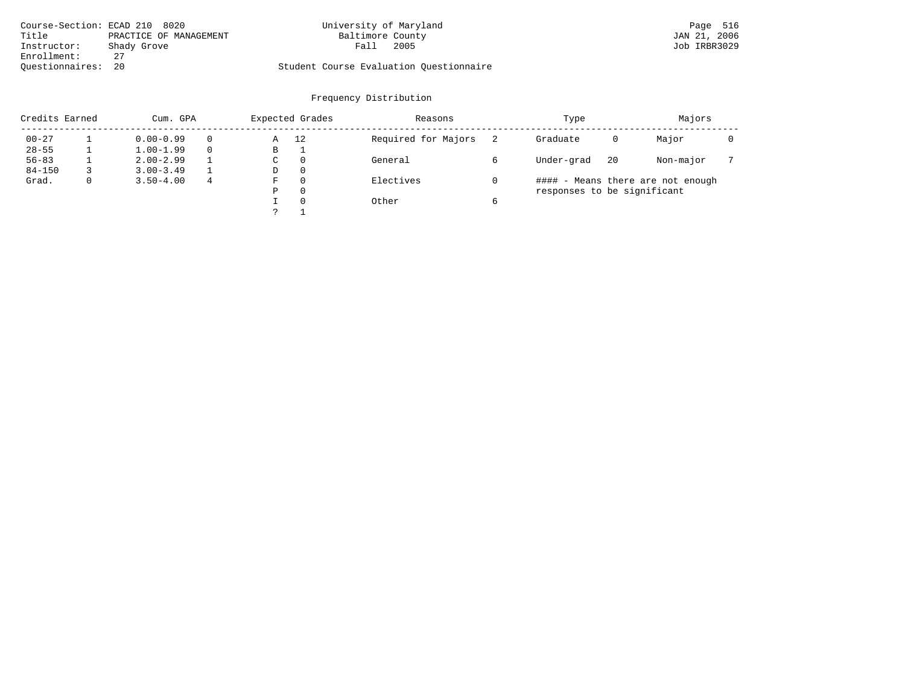|                    | Course-Section: ECAD 210 8020 | University of Maryland                  | Page 516     |
|--------------------|-------------------------------|-----------------------------------------|--------------|
| Title              | PRACTICE OF MANAGEMENT        | Baltimore County                        | JAN 21, 2006 |
| Instructor:        | Shady Grove                   | 2005<br>Fall                            | Job IRBR3029 |
| Enrollment:        |                               |                                         |              |
| Ouestionnaires: 20 |                               | Student Course Evaluation Questionnaire |              |

|            | Credits Earned<br>Cum. GPA |               |   | Expected Grades |          | Reasons             | Type                        |    | Majors                            |  |
|------------|----------------------------|---------------|---|-----------------|----------|---------------------|-----------------------------|----|-----------------------------------|--|
| $00 - 27$  |                            | $0.00 - 0.99$ |   | Α               | 12       | Required for Majors | Graduate                    | 0  | Major                             |  |
| $28 - 55$  |                            | $1.00 - 1.99$ |   | В               |          |                     |                             |    |                                   |  |
| $56 - 83$  |                            | $2.00 - 2.99$ |   | C               | $\Omega$ | General             | Under-grad                  | 20 | Non-major                         |  |
| $84 - 150$ |                            | $3.00 - 3.49$ |   | D               | $\Omega$ |                     |                             |    |                                   |  |
| Grad.      | 0                          | $3.50 - 4.00$ | 4 | F               | $\Omega$ | Electives           |                             |    | #### - Means there are not enough |  |
|            |                            |               |   | Ρ               | $\Omega$ |                     | responses to be significant |    |                                   |  |
|            |                            |               |   |                 | $\Omega$ | Other               |                             |    |                                   |  |
|            |                            |               |   |                 |          |                     |                             |    |                                   |  |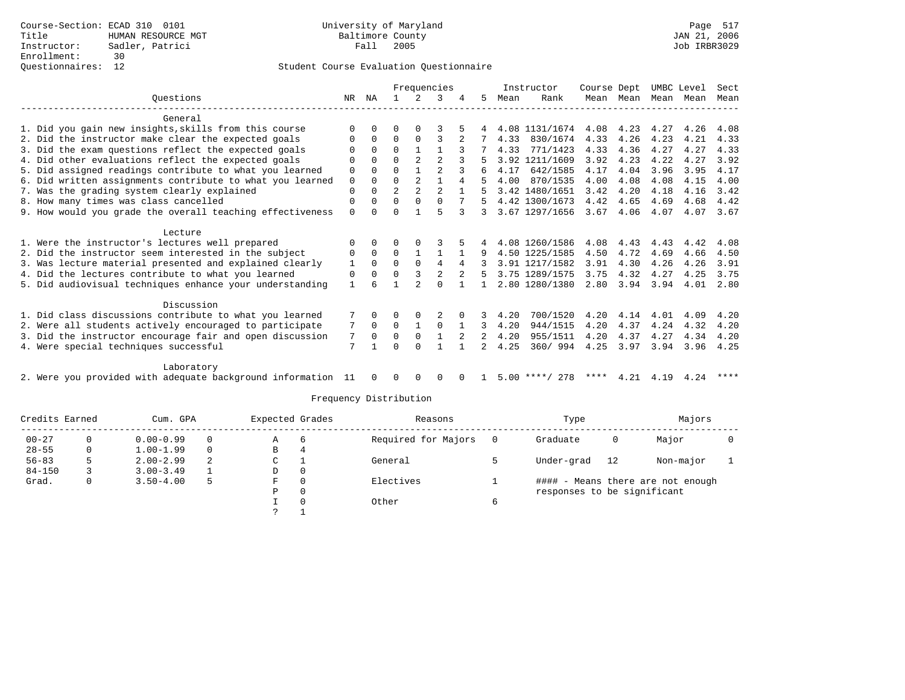## Questionnaires: 12 Student Course Evaluation Questionnaire

|                                                           |              |              |                |                | Frequencies    |   |    |      | Instructor     | Course Dept |           |      | UMBC Level | Sect |
|-----------------------------------------------------------|--------------|--------------|----------------|----------------|----------------|---|----|------|----------------|-------------|-----------|------|------------|------|
| Ouestions                                                 | NR           | NA           |                |                | 3              | 4 | 5. | Mean | Rank           |             | Mean Mean | Mean | Mean       | Mean |
| General                                                   |              |              |                |                |                |   |    |      |                |             |           |      |            |      |
| 1. Did you gain new insights, skills from this course     | $\Omega$     | $\Omega$     | O              | $\Omega$       |                |   |    |      | 4.08 1131/1674 | 4.08        | 4.23      | 4.27 | 4.26       | 4.08 |
| 2. Did the instructor make clear the expected goals       | 0            | $\Omega$     | $\Omega$       | $\Omega$       | 3              |   |    | 4.33 | 830/1674       | 4.33        | 4.26      | 4.23 | 4.21       | 4.33 |
| 3. Did the exam questions reflect the expected goals      | $\Omega$     | $\Omega$     | $\Omega$       |                |                |   |    | 4.33 | 771/1423       | 4.33        | 4.36      | 4.27 | 4.27       | 4.33 |
| 4. Did other evaluations reflect the expected goals       | U            | $\cap$       | $\Omega$       | $\mathfrak{D}$ | $\mathfrak{D}$ |   |    |      | 3.92 1211/1609 | 3.92        | 4.23      | 4.22 | 4.27       | 3.92 |
| 5. Did assigned readings contribute to what you learned   | $\mathbf 0$  | $\Omega$     | $\Omega$       |                | $\mathfrak{D}$ |   |    | 4.17 | 642/1585       | 4.17        | 4.04      | 3.96 | 3.95       | 4.17 |
| 6. Did written assignments contribute to what you learned | $\mathbf 0$  | $\Omega$     | $\Omega$       | $\mathfrak{D}$ |                | 4 | 5  | 4.00 | 870/1535       | 4.00        | 4.08      | 4.08 | 4.15       | 4.00 |
| 7. Was the grading system clearly explained               | $\Omega$     | $\Omega$     | $\overline{2}$ | $\mathfrak{D}$ | $\mathfrak{D}$ |   |    |      | 3.42 1480/1651 | 3.42        | 4.20      | 4.18 | 4.16       | 3.42 |
| 8. How many times was class cancelled                     | $\mathbf 0$  | $\Omega$     | $\Omega$       | $\Omega$       | $\Omega$       |   |    |      | 4.42 1300/1673 | 4.42        | 4.65      | 4.69 | 4.68       | 4.42 |
| 9. How would you grade the overall teaching effectiveness | $\Omega$     | <sup>n</sup> | $\Omega$       |                | 5              | 3 | 3  |      | 3.67 1297/1656 | 3.67        | 4.06      | 4.07 | 4.07       | 3.67 |
| Lecture                                                   |              |              |                |                |                |   |    |      |                |             |           |      |            |      |
| 1. Were the instructor's lectures well prepared           |              | $\Omega$     | O              | $\Omega$       |                |   |    |      | 4.08 1260/1586 | 4.08        | 4.43      | 4.43 | 4.42       | 4.08 |
| 2. Did the instructor seem interested in the subject      | 0            | $\Omega$     | $\Omega$       |                |                |   | 9  |      | 4.50 1225/1585 | 4.50        | 4.72      | 4.69 | 4.66       | 4.50 |
| 3. Was lecture material presented and explained clearly   | 1            | $\Omega$     | $\Omega$       | $\Omega$       | 4              | 4 |    |      | 3.91 1217/1582 | 3.91        | 4.30      | 4.26 | 4.26       | 3.91 |
| 4. Did the lectures contribute to what you learned        | 0            | $\Omega$     | $\Omega$       | 3              | 2              | 2 |    |      | 3.75 1289/1575 | 3.75        | 4.32      | 4.27 | 4.25       | 3.75 |
| 5. Did audiovisual techniques enhance your understanding  | $\mathbf{1}$ |              |                |                | $\Omega$       |   |    |      | 2.80 1280/1380 | 2.80        | 3.94      | 3.94 | 4.01       | 2.80 |
|                                                           |              |              |                |                |                |   |    |      |                |             |           |      |            |      |
| Discussion                                                |              |              |                |                |                |   |    |      |                |             |           |      |            |      |
| 1. Did class discussions contribute to what you learned   |              | $\Omega$     |                |                |                |   |    | 4.20 | 700/1520       | 4.20        | 4.14      | 4.01 | 4.09       | 4.20 |
| 2. Were all students actively encouraged to participate   |              |              | $\Omega$       | $\mathbf{1}$   | $\Omega$       |   | 3  | 4.20 | 944/1515       | 4.20        | 4.37      | 4.24 | 4.32       | 4.20 |
| 3. Did the instructor encourage fair and open discussion  |              |              | $\Omega$       | $\Omega$       |                |   |    | 4.20 | 955/1511       | 4.20        | 4.37      | 4.27 | 4.34       | 4.20 |
| 4. Were special techniques successful                     |              |              | $\Omega$       | $\Omega$       |                |   |    | 4.25 | 360/ 994       | 4.25        | 3.97      | 3.94 | 3.96       | 4.25 |
| Laboratory                                                |              |              |                |                |                |   |    |      |                |             |           |      |            |      |

2. Were you provided with adequate background information 11 0 0 0 0 0 1 5.00 \*\*\*\*/ 278 \*\*\*\* 4.21 4.19 4.24 \*\*\*\*

| Credits Earned |  | Cum. GPA      |          | Expected Grades |       | Reasons             | Type                        |    | Majors                            |  |
|----------------|--|---------------|----------|-----------------|-------|---------------------|-----------------------------|----|-----------------------------------|--|
| $00 - 27$      |  | $0.00 - 0.99$ | $\Omega$ | Α               | 6     | Required for Majors | Graduate                    | 0  | Major                             |  |
| $28 - 55$      |  | $1.00 - 1.99$ | $\Omega$ | В               | 4     |                     |                             |    |                                   |  |
| $56 - 83$      |  | $2.00 - 2.99$ |          | C               |       | General             | Under-grad                  | 12 | Non-major                         |  |
| $84 - 150$     |  | $3.00 - 3.49$ |          | D               | 0     |                     |                             |    |                                   |  |
| Grad.          |  | $3.50 - 4.00$ | 5        | F               | 0     | Electives           |                             |    | #### - Means there are not enough |  |
|                |  |               |          | Р               | 0     |                     | responses to be significant |    |                                   |  |
|                |  |               |          | 0               | Other |                     |                             |    |                                   |  |
|                |  |               |          |                 |       |                     |                             |    |                                   |  |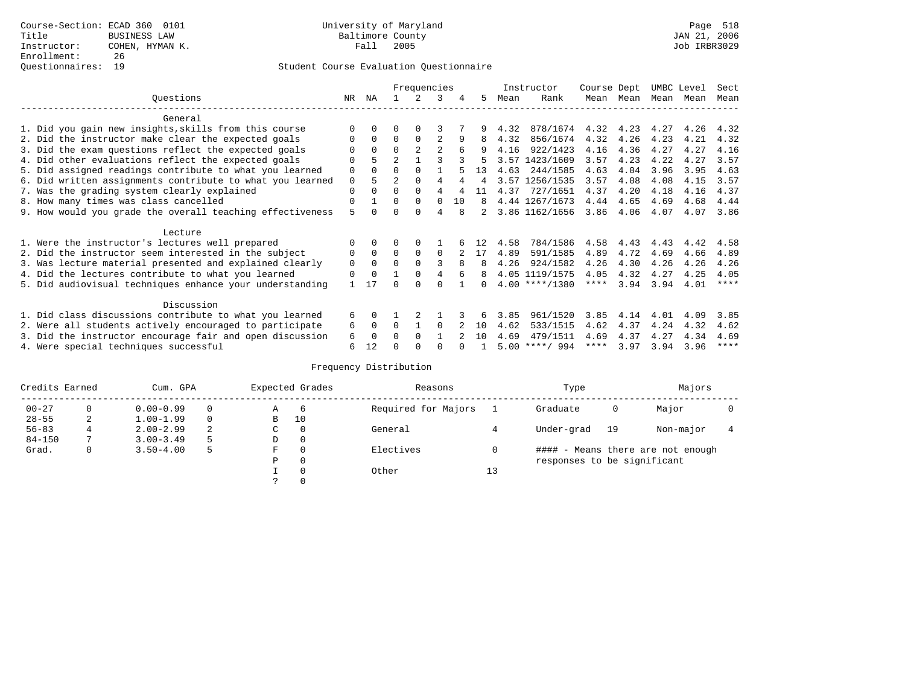|                                                           | Frequencies |          |                |             |                |     |              |      | Instructor       | Course Dept |      | UMBC Level |      | Sect |
|-----------------------------------------------------------|-------------|----------|----------------|-------------|----------------|-----|--------------|------|------------------|-------------|------|------------|------|------|
| Ouestions                                                 | NR          | ΝA       |                | 2           | 3              | 4   | 5.           | Mean | Rank             | Mean        | Mean | Mean       | Mean | Mean |
| General                                                   |             |          |                |             |                |     |              |      |                  |             |      |            |      |      |
| 1. Did you gain new insights, skills from this course     | ∩           |          | O              | $\Omega$    |                |     |              | 4.32 | 878/1674         | 4.32        | 4.23 | 4.27       | 4.26 | 4.32 |
| 2. Did the instructor make clear the expected goals       | $\Omega$    | $\Omega$ | $\Omega$       | $\Omega$    |                | 9   | 8            | 4.32 | 856/1674         | 4.32        | 4.26 | 4.23       | 4.21 | 4.32 |
| 3. Did the exam questions reflect the expected goals      |             |          | $\Omega$       |             | $\overline{a}$ |     |              | 4.16 | 922/1423         | 4.16        | 4.36 | 4.27       | 4.27 | 4.16 |
| 4. Did other evaluations reflect the expected goals       | $\Omega$    |          | $\overline{2}$ |             | 3              |     |              |      | 3.57 1423/1609   | 3.57        | 4.23 | 4.22       | 4.27 | 3.57 |
| 5. Did assigned readings contribute to what you learned   | $\Omega$    |          | $\Omega$       |             |                |     | 13           | 4.63 | 244/1585         | 4.63        | 4.04 | 3.96       | 3.95 | 4.63 |
| 6. Did written assignments contribute to what you learned | 0           | 5.       |                | 0           | 4              |     |              |      | 3.57 1256/1535   | 3.57        | 4.08 | 4.08       | 4.15 | 3.57 |
| 7. Was the grading system clearly explained               | $\Omega$    |          | $\Omega$       | $\Omega$    | 4              |     |              | 4.37 | 727/1651         | 4.37        | 4.20 | 4.18       | 4.16 | 4.37 |
| 8. How many times was class cancelled                     | $\Omega$    |          | $\Omega$       | $\Omega$    | $\Omega$       | 1 O | 8            |      | 4.44 1267/1673   | 4.44        | 4.65 | 4.69       | 4.68 | 4.44 |
| 9. How would you grade the overall teaching effectiveness | 5           |          | $\Omega$       | $\cap$      | $\overline{4}$ |     |              |      | 3.86 1162/1656   | 3.86        | 4.06 | 4.07       | 4.07 | 3.86 |
| Lecture                                                   |             |          |                |             |                |     |              |      |                  |             |      |            |      |      |
| 1. Were the instructor's lectures well prepared           |             |          |                |             |                |     | 12           | 4.58 | 784/1586         | 4.58        | 4.43 | 4.43       | 4.42 | 4.58 |
| 2. Did the instructor seem interested in the subject      | 0           | $\Omega$ | $\Omega$       | $\mathbf 0$ | $\Omega$       |     | 17           | 4.89 | 591/1585         | 4.89        | 4.72 | 4.69       | 4.66 | 4.89 |
| 3. Was lecture material presented and explained clearly   | $\Omega$    | $\Omega$ | $\Omega$       | $\Omega$    |                |     |              | 4.26 | 924/1582         | 4.26        | 4.30 | 4.26       | 4.26 | 4.26 |
| 4. Did the lectures contribute to what you learned        | $\Omega$    | $\Omega$ |                | $\Omega$    | 4              | 6   | 8            |      | 4.05 1119/1575   | 4.05        | 4.32 | 4.27       | 4.25 | 4.05 |
| 5. Did audiovisual techniques enhance your understanding  |             | 17       | ∩              | $\cap$      | $\cap$         |     | <sup>n</sup> |      | $4.00$ ****/1380 | ****        | 3.94 | 3.94       | 4.01 | **** |
|                                                           |             |          |                |             |                |     |              |      |                  |             |      |            |      |      |
| Discussion                                                |             |          |                |             |                |     |              |      |                  |             |      |            |      |      |
| 1. Did class discussions contribute to what you learned   | 6           |          |                | 2           |                |     |              | 3.85 | 961/1520         | 3.85        | 4.14 | 4.01       | 4.09 | 3.85 |
| 2. Were all students actively encouraged to participate   | 6           | $\Omega$ | $\Omega$       |             | $\Omega$       |     | 10           | 4.62 | 533/1515         | 4.62        | 4.37 | 4.24       | 4.32 | 4.62 |
| 3. Did the instructor encourage fair and open discussion  | 6           | 0        | $\Omega$       | $\Omega$    |                |     | 10           | 4.69 | 479/1511         | 4.69        | 4.37 | 4.27       | 4.34 | 4.69 |
| 4. Were special techniques successful                     | 6           | 12       | ∩              |             | ∩              |     |              |      | $5.00$ ****/ 994 | ****        | 3.97 | 3.94       | 3.96 | **** |

| Credits Earned |          | Cum. GPA      |    |             | Expected Grades | Reasons             |    | Type                        |    | Majors                            |  |
|----------------|----------|---------------|----|-------------|-----------------|---------------------|----|-----------------------------|----|-----------------------------------|--|
| $00 - 27$      | $\Omega$ | $0.00 - 0.99$ |    | Α           | 6               | Required for Majors |    | Graduate                    | 0  | Major                             |  |
| $28 - 55$      | 2        | $1.00 - 1.99$ |    | B           | 10              |                     |    |                             |    |                                   |  |
| $56 - 83$      |          | $2.00 - 2.99$ | 2  | $\sim$<br>◡ | 0               | General             |    | Under-grad                  | 19 | Non-major                         |  |
| $84 - 150$     |          | $3.00 - 3.49$ | .5 | D           | 0               |                     |    |                             |    |                                   |  |
| Grad.          | 0        | $3.50 - 4.00$ | 5  | F           | 0               | Electives           | 0  |                             |    | #### - Means there are not enough |  |
|                |          |               |    | Ρ           | 0               |                     |    | responses to be significant |    |                                   |  |
|                |          |               |    |             | $\Omega$        | Other               | 13 |                             |    |                                   |  |
|                |          |               |    |             |                 |                     |    |                             |    |                                   |  |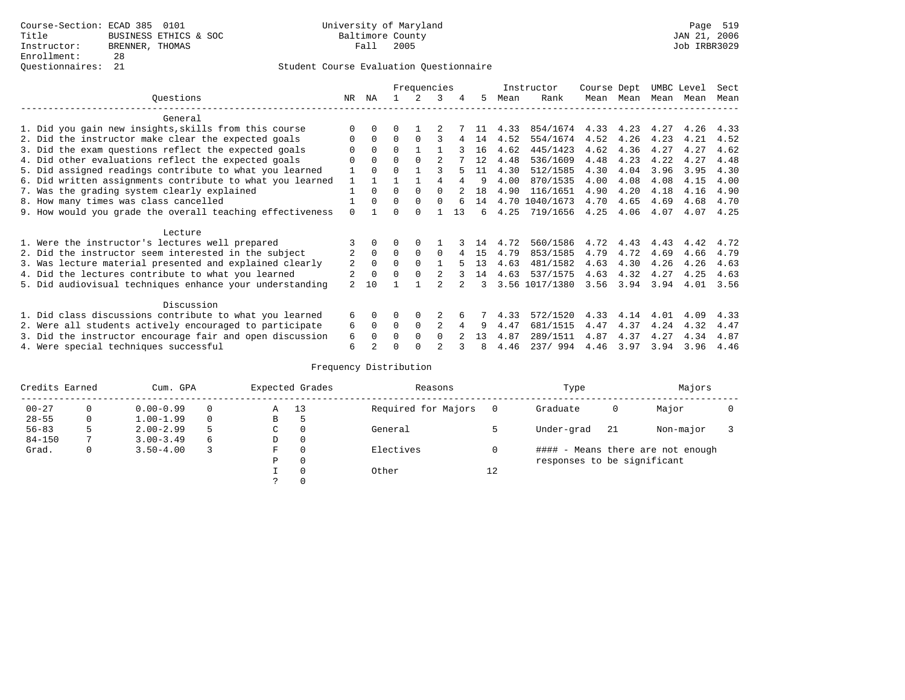|                                                           |                | Frequencies |          |          |                |    |    | Instructor | Course Dept    |      | UMBC Level |      | Sect |      |
|-----------------------------------------------------------|----------------|-------------|----------|----------|----------------|----|----|------------|----------------|------|------------|------|------|------|
| Ouestions                                                 | NR.            | ΝA          |          |          | 3              | 4  | 5. | Mean       | Rank           |      | Mean Mean  | Mean | Mean | Mean |
| General                                                   |                |             |          |          |                |    |    |            |                |      |            |      |      |      |
| 1. Did you gain new insights, skills from this course     |                | $\Omega$    | 0        |          |                |    |    | 4.33       | 854/1674       | 4.33 | 4.23       | 4.27 | 4.26 | 4.33 |
| 2. Did the instructor make clear the expected goals       | O              | $\Omega$    | $\Omega$ | $\Omega$ |                |    | 14 | 4.52       | 554/1674       | 4.52 | 4.26       | 4.23 | 4.21 | 4.52 |
| 3. Did the exam questions reflect the expected goals      |                | $\Omega$    | $\Omega$ |          |                |    | 16 | 4.62       | 445/1423       | 4.62 | 4.36       | 4.27 | 4.27 | 4.62 |
| 4. Did other evaluations reflect the expected goals       | O              | $\Omega$    | $\Omega$ | $\Omega$ |                |    | 12 | 4.48       | 536/1609       | 4.48 | 4.23       | 4.22 | 4.27 | 4.48 |
| 5. Did assigned readings contribute to what you learned   |                | $\Omega$    | $\Omega$ |          | ς              |    | 11 | 4.30       | 512/1585       | 4.30 | 4.04       | 3.96 | 3.95 | 4.30 |
| 6. Did written assignments contribute to what you learned | 1              |             |          |          |                |    | 9  | 4.00       | 870/1535       | 4.00 | 4.08       | 4.08 | 4.15 | 4.00 |
| 7. Was the grading system clearly explained               |                | $\Omega$    | $\Omega$ | $\Omega$ | $\cap$         |    | 18 | 4.90       | 116/1651       | 4.90 | 4.20       | 4.18 | 4.16 | 4.90 |
| 8. How many times was class cancelled                     |                | $\Omega$    | $\Omega$ | $\Omega$ | $\Omega$       |    | 14 |            | 4.70 1040/1673 | 4.70 | 4.65       | 4.69 | 4.68 | 4.70 |
| 9. How would you grade the overall teaching effectiveness | $\Omega$       |             | ∩        | $\cap$   |                | 13 | б. | 4.25       | 719/1656       | 4.25 | 4.06       | 4.07 | 4.07 | 4.25 |
| Lecture                                                   |                |             |          |          |                |    |    |            |                |      |            |      |      |      |
| 1. Were the instructor's lectures well prepared           |                |             |          |          |                |    | 14 | 4.72       | 560/1586       | 4.72 | 4.43       | 4.43 | 4.42 | 4.72 |
| 2. Did the instructor seem interested in the subject      | 2              | $\Omega$    | $\Omega$ | $\Omega$ | $\Omega$       |    | 15 | 4.79       | 853/1585       | 4.79 | 4.72       | 4.69 | 4.66 | 4.79 |
| 3. Was lecture material presented and explained clearly   | 2              | $\Omega$    | $\Omega$ | $\Omega$ |                |    | 13 | 4.63       | 481/1582       | 4.63 | 4.30       | 4.26 | 4.26 | 4.63 |
| 4. Did the lectures contribute to what you learned        |                | $\Omega$    | $\Omega$ |          |                |    | 14 | 4.63       | 537/1575       | 4.63 | 4.32       | 4.27 | 4.25 | 4.63 |
| 5. Did audiovisual techniques enhance your understanding  | $\mathfrak{D}$ | 10          |          |          |                |    | ર  |            | 3.56 1017/1380 | 3.56 | 3.94       | 3.94 | 4.01 | 3.56 |
| Discussion                                                |                |             |          |          |                |    |    |            |                |      |            |      |      |      |
| 1. Did class discussions contribute to what you learned   | 6              | $\Omega$    | 0        | $\Omega$ |                |    |    | 4.33       | 572/1520       | 4.33 | 4.14       | 4.01 | 4.09 | 4.33 |
| 2. Were all students actively encouraged to participate   | 6              | $\Omega$    | $\Omega$ | $\Omega$ | $\overline{c}$ |    | 9  | 4.47       | 681/1515       | 4.47 | 4.37       | 4.24 | 4.32 | 4.47 |
| 3. Did the instructor encourage fair and open discussion  | 6              | $\Omega$    | 0        | $\Omega$ | $\Omega$       |    | 13 | 4.87       | 289/1511       | 4.87 | 4.37       | 4.27 | 4.34 | 4.87 |
| 4. Were special techniques successful                     | 6              |             |          |          |                |    | 8  | 4.46       | 237/994        | 4.46 | 3.97       | 3.94 | 3.96 | 4.46 |

| Credits Earned |   | Cum. GPA      |    |               | Expected Grades | Reasons             |    | Type                        |     | Majors                            |  |
|----------------|---|---------------|----|---------------|-----------------|---------------------|----|-----------------------------|-----|-----------------------------------|--|
| $00 - 27$      | 0 | $0.00 - 0.99$ |    | Α             | 13              | Required for Majors |    | Graduate                    | 0   | Major                             |  |
| $28 - 55$      | 0 | $1.00 - 1.99$ |    | В             | כ               |                     |    |                             |     |                                   |  |
| $56 - 83$      | 5 | $2.00 - 2.99$ | -5 | $\sim$<br>◡   | 0               | General             |    | Under-grad                  | -21 | Non-major                         |  |
| $84 - 150$     |   | $3.00 - 3.49$ | 6  | D             | 0               |                     |    |                             |     |                                   |  |
| Grad.          | 0 | $3.50 - 4.00$ |    | F             | 0               | Electives           |    |                             |     | #### - Means there are not enough |  |
|                |   |               |    | Ρ             | 0               |                     |    | responses to be significant |     |                                   |  |
|                |   |               |    |               | $\Omega$        | Other               | 12 |                             |     |                                   |  |
|                |   |               |    | $\mathcal{L}$ |                 |                     |    |                             |     |                                   |  |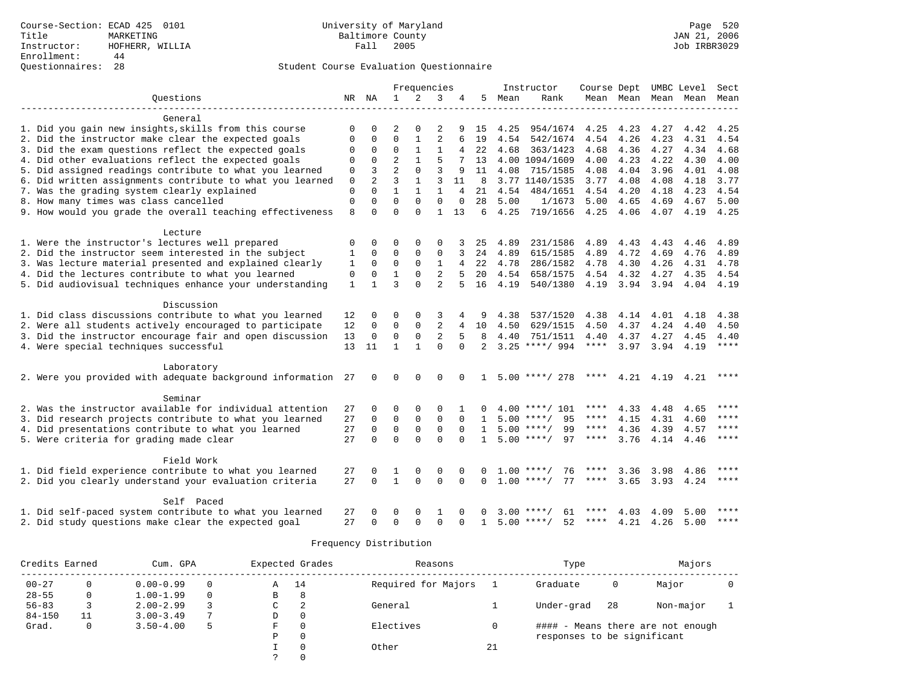|                                                           |              |                |                | Frequencies  |                |          |              |      | Instructor         | Course Dept UMBC Level |           |           |      | Sect        |
|-----------------------------------------------------------|--------------|----------------|----------------|--------------|----------------|----------|--------------|------|--------------------|------------------------|-----------|-----------|------|-------------|
| Ouestions                                                 |              | NR NA          | $\mathbf{1}$   | 2            | 3              | 4        | 5            | Mean | Rank               |                        | Mean Mean | Mean      | Mean | Mean        |
|                                                           |              |                |                |              |                |          |              |      |                    |                        |           |           |      |             |
| General                                                   |              |                |                |              |                |          |              |      |                    |                        |           |           |      |             |
| 1. Did you gain new insights, skills from this course     | $\Omega$     | $\Omega$       | $\mathfrak{D}$ | $\Omega$     | $\mathfrak{D}$ |          | 15           | 4.25 | 954/1674           | 4.25                   | 4.23      | 4.27      | 4.42 | 4.25        |
| 2. Did the instructor make clear the expected goals       | $\Omega$     | $\Omega$       | $\Omega$       | $\mathbf{1}$ | $\overline{c}$ | 6        | 19           | 4.54 | 542/1674           | 4.54                   | 4.26      | 4.23      | 4.31 | 4.54        |
| 3. Did the exam questions reflect the expected goals      | $\Omega$     | 0              | $\Omega$       | $\mathbf{1}$ | $\mathbf{1}$   |          | 22           | 4.68 | 363/1423           | 4.68                   | 4.36      | 4.27      | 4.34 | 4.68        |
| 4. Did other evaluations reflect the expected goals       | $\Omega$     | $\Omega$       | $\overline{a}$ | $\mathbf{1}$ | 5              |          | 13           |      | 4.00 1094/1609     | 4.00                   | 4.23      | 4.22      | 4.30 | 4.00        |
| 5. Did assigned readings contribute to what you learned   | $\mathbf 0$  | 3              | $\overline{a}$ | $\Omega$     | 3              | 9        | 11           | 4.08 | 715/1585           | 4.08                   | 4.04      | 3.96      | 4.01 | 4.08        |
| 6. Did written assignments contribute to what you learned | $\Omega$     | $\overline{2}$ | 3              | $\mathbf{1}$ | 3              | 11       | 8            |      | 3.77 1140/1535     | 3.77                   | 4.08      | 4.08      | 4.18 | 3.77        |
| 7. Was the grading system clearly explained               | 0            | $\Omega$       | $\mathbf{1}$   | $\mathbf{1}$ | $\mathbf{1}$   | 4        | 21           | 4.54 | 484/1651           | 4.54                   | 4.20      | 4.18      | 4.23 | 4.54        |
| 8. How many times was class cancelled                     | $\Omega$     | $\Omega$       | $\Omega$       | $\Omega$     | $\Omega$       | $\Omega$ | 28           | 5.00 | 1/1673             | 5.00                   | 4.65      | 4.69      | 4.67 | 5.00        |
| 9. How would you grade the overall teaching effectiveness | 8            | $\Omega$       | $\Omega$       | $\Omega$     | $\mathbf{1}$   | 13       | 6            | 4.25 | 719/1656           | 4.25                   | 4.06      | 4.07      | 4.19 | 4.25        |
|                                                           |              |                |                |              |                |          |              |      |                    |                        |           |           |      |             |
| Lecture                                                   |              |                |                |              |                |          |              |      |                    |                        |           |           |      |             |
| 1. Were the instructor's lectures well prepared           | 0            | 0              | $\Omega$       | $\Omega$     | $\Omega$       |          | 25           | 4.89 | 231/1586           | 4.89                   | 4.43      | 4.43      | 4.46 | 4.89        |
| 2. Did the instructor seem interested in the subject      | $\mathbf{1}$ | $\Omega$       | $\mathbf 0$    | $\Omega$     | $\mathbf 0$    |          | 24           | 4.89 | 615/1585           | 4.89                   | 4.72      | 4.69      | 4.76 | 4.89        |
| 3. Was lecture material presented and explained clearly   | 1            | $\Omega$       | $\mathbf 0$    | $\mathbf 0$  | $\mathbf{1}$   | 4        | 22           | 4.78 | 286/1582           | 4.78                   | 4.30      | 4.26      | 4.31 | 4.78        |
| 4. Did the lectures contribute to what you learned        | 0            | 0              | $\mathbf{1}$   | $\mathbf 0$  | $\overline{2}$ | 5        | 20           | 4.54 | 658/1575           | 4.54                   | 4.32      | 4.27      | 4.35 | 4.54        |
| 5. Did audiovisual techniques enhance your understanding  | $\mathbf{1}$ | $\mathbf{1}$   | 3              | $\Omega$     | $\overline{a}$ | 5        | 16           | 4.19 | 540/1380           | 4.19                   | 3.94      | 3.94      | 4.04 | 4.19        |
|                                                           |              |                |                |              |                |          |              |      |                    |                        |           |           |      |             |
| Discussion                                                |              |                |                |              |                |          |              |      |                    |                        |           |           |      |             |
| 1. Did class discussions contribute to what you learned   | 12           | 0              | 0              | $\Omega$     | 3              |          | 9            | 4.38 | 537/1520           | 4.38                   | 4.14      | 4.01      | 4.18 | 4.38        |
| 2. Were all students actively encouraged to participate   | 12           | $\mathbf 0$    | $\Omega$       | $\Omega$     | $\overline{2}$ | 4        | 10           | 4.50 | 629/1515           | 4.50                   | 4.37      | 4.24      | 4.40 | 4.50        |
| 3. Did the instructor encourage fair and open discussion  | 13           | 0              | 0              | 0            | $\overline{2}$ | 5        | 8            | 4.40 | 751/1511           | 4.40                   | 4.37      | 4.27      | 4.45 | 4.40        |
| 4. Were special techniques successful                     | 13           | 11             | $\mathbf{1}$   | $\mathbf{1}$ | $\Omega$       | $\Omega$ | 2            |      | $3.25$ ****/ 994   | $***$ * * *            | 3.97      | 3.94      | 4.19 | $***$ * * * |
|                                                           |              |                |                |              |                |          |              |      |                    |                        |           |           |      |             |
| Laboratory                                                |              |                |                |              |                |          |              |      |                    |                        |           |           |      |             |
| 2. Were you provided with adequate background information | 27           | $\Omega$       | $\Omega$       | $\Omega$     | $\Omega$       |          | $\mathbf{1}$ |      | $5.00$ ****/ 278   | ****                   |           | 4.21 4.19 | 4.21 | ****        |
|                                                           |              |                |                |              |                |          |              |      |                    |                        |           |           |      |             |
| Seminar                                                   |              |                |                |              |                |          |              |      |                    |                        |           |           |      |             |
| 2. Was the instructor available for individual attention  | 27           | $\Omega$       | $\Omega$       | $\Omega$     | $\Omega$       |          | 0            |      | $4.00$ ****/ 101   | ****                   | 4.33      | 4.48      | 4.65 | ****        |
| 3. Did research projects contribute to what you learned   | 27           | $\Omega$       | $\Omega$       | $\mathbf 0$  | $\Omega$       | $\Omega$ | $\mathbf{1}$ |      | 95<br>$5.00$ ****/ | ****                   | 4.15      | 4.31      | 4.60 | ****        |
| 4. Did presentations contribute to what you learned       | 27           | $\Omega$       | $\mathbf 0$    | $\mathbf 0$  | $\mathbf 0$    | $\Omega$ | $\mathbf{1}$ |      | $5.00$ ****/<br>99 | $***$ * * *            | 4.36      | 4.39      | 4.57 | ****        |
| 5. Were criteria for grading made clear                   | 27           | $\Omega$       | $\Omega$       | $\Omega$     | $\Omega$       | $\Omega$ | $\mathbf{1}$ |      | 97<br>$5.00$ ****/ | ****                   | 3.76      | 4.14      | 4.46 | ****        |
|                                                           |              |                |                |              |                |          |              |      |                    |                        |           |           |      |             |
| Field Work                                                |              |                |                |              |                |          |              |      |                    |                        |           |           |      |             |
| 1. Did field experience contribute to what you learned    | 27           | 0              | 1              | $\Omega$     | 0              | ∩        |              | 1.00 | 76                 |                        | 3.36      | 3.98      | 4.86 | $***$       |
| 2. Did you clearly understand your evaluation criteria    | 27           | $\Omega$       | $\mathbf{1}$   | $\Omega$     | $\Omega$       | $\Omega$ | $\Omega$     |      | 77<br>$1.00$ ****/ | ****                   | 3.65      | 3.93      | 4.24 | ****        |
|                                                           |              |                |                |              |                |          |              |      |                    |                        |           |           |      |             |
| Self Paced                                                |              |                |                |              |                |          |              |      |                    |                        |           |           |      |             |
| 1. Did self-paced system contribute to what you learned   | 27           |                | O              | $\Omega$     | 1              |          |              | 3.00 | 61<br>****/        | ****                   | 4.03      | 4.09      | 5.00 | ****        |
| 2. Did study questions make clear the expected goal       | 27           | $\Omega$       | $\Omega$       | $\Omega$     | $\Omega$       | $\Omega$ | $\mathbf{1}$ |      | $5.00$ ****/<br>52 | ****                   | 4.21      | 4.26      | 5.00 | ****        |
|                                                           |              |                |                |              |                |          |              |      |                    |                        |           |           |      |             |

| Credits Earned | Cum. GPA      |              |   | Expected Grades | Reasons             |    | Type                        |    | Majors                            |  |
|----------------|---------------|--------------|---|-----------------|---------------------|----|-----------------------------|----|-----------------------------------|--|
| $00 - 27$      | $0.00 - 0.99$ |              | A | 14              | Required for Majors |    | Graduate                    | 0  | Major                             |  |
| $28 - 55$      | $1.00 - 1.99$ | $\Omega$     | В | 8               |                     |    |                             |    |                                   |  |
| $56 - 83$      | $2.00 - 2.99$ |              | C | 2               | General             |    | Under-grad                  | 28 | Non-major                         |  |
| $84 - 150$     | $3.00 - 3.49$ | $\mathbf{r}$ | D | $\Omega$        |                     |    |                             |    |                                   |  |
| Grad.          | $3.50 - 4.00$ | 5            | F | $\Omega$        | Electives           |    |                             |    | #### - Means there are not enough |  |
|                |               |              | P | $\Omega$        |                     |    | responses to be significant |    |                                   |  |
|                |               |              |   | $\Omega$        | Other               | 21 |                             |    |                                   |  |
|                |               |              |   |                 |                     |    |                             |    |                                   |  |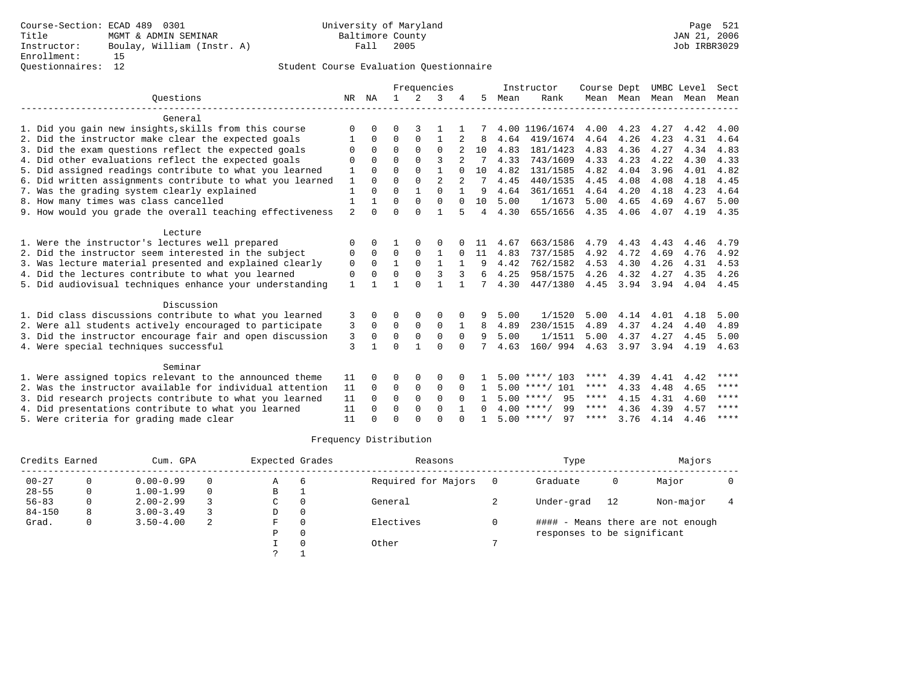|                                                           |                |              | Frequencies  |               |                |          | Instructor   | Course Dept |                    | UMBC Level |           | Sect |      |             |
|-----------------------------------------------------------|----------------|--------------|--------------|---------------|----------------|----------|--------------|-------------|--------------------|------------|-----------|------|------|-------------|
| Ouestions                                                 | NR             | ΝA           | $\mathbf{1}$ | $\mathcal{L}$ | 3              |          | 5.           | Mean        | Rank               |            | Mean Mean | Mean | Mean | Mean        |
| General                                                   |                |              |              |               |                |          |              |             |                    |            |           |      |      |             |
| 1. Did you gain new insights, skills from this course     | $\Omega$       | U            | O            |               |                |          |              |             | 4.00 1196/1674     | 4.00       | 4.23      | 4.27 | 4.42 | 4.00        |
| 2. Did the instructor make clear the expected goals       |                | $\Omega$     | $\Omega$     | $\mathbf 0$   | 1              |          | 8            | 4.64        | 419/1674           | 4.64       | 4.26      | 4.23 | 4.31 | 4.64        |
| 3. Did the exam questions reflect the expected goals      | $\Omega$       | $\Omega$     | $\Omega$     | $\Omega$      | $\Omega$       |          | 10           | 4.83        | 181/1423           | 4.83       | 4.36      | 4.27 | 4.34 | 4.83        |
| 4. Did other evaluations reflect the expected goals       | ∩              | <sup>n</sup> | $\Omega$     | $\cap$        | ζ              |          |              | 4.33        | 743/1609           | 4.33       | 4.23      | 4.22 | 4.30 | 4.33        |
| 5. Did assigned readings contribute to what you learned   | 1              | $\Omega$     | $\Omega$     | $\Omega$      | $\mathbf{1}$   | $\Omega$ | 10           | 4.82        | 131/1585           | 4.82       | 4.04      | 3.96 | 4.01 | 4.82        |
| 6. Did written assignments contribute to what you learned | 1              | 0            | $\Omega$     | $\Omega$      | $\overline{a}$ |          |              | 4.45        | 440/1535           | 4.45       | 4.08      | 4.08 | 4.18 | 4.45        |
| 7. Was the grading system clearly explained               | $\mathbf{1}$   | $\Omega$     | $\Omega$     | $\mathbf{1}$  | $\cap$         |          | 9            | 4.64        | 361/1651           | 4.64       | 4.20      | 4.18 | 4.23 | 4.64        |
| 8. How many times was class cancelled                     |                |              | $\Omega$     | $\Omega$      | $\Omega$       | $\Omega$ | 10           | 5.00        | 1/1673             | 5.00       | 4.65      | 4.69 | 4.67 | 5.00        |
| 9. How would you grade the overall teaching effectiveness | $\overline{a}$ | $\Omega$     | $\Omega$     | $\Omega$      | $\mathbf{1}$   | 5        | 4            | 4.30        | 655/1656           | 4.35       | 4.06      | 4.07 | 4.19 | 4.35        |
| Lecture                                                   |                |              |              |               |                |          |              |             |                    |            |           |      |      |             |
| 1. Were the instructor's lectures well prepared           | O              | 0            |              | O             | 0              |          |              | 4.67        | 663/1586           | 4.79       | 4.43      | 4.43 | 4.46 | 4.79        |
| 2. Did the instructor seem interested in the subject      | $\Omega$       | $\Omega$     | $\Omega$     | $\Omega$      | $\mathbf{1}$   | $\Omega$ | 11           | 4.83        | 737/1585           | 4.92       | 4.72      | 4.69 | 4.76 | 4.92        |
| 3. Was lecture material presented and explained clearly   | $\mathbf 0$    | 0            | $\mathbf{1}$ | $\mathbf 0$   | $\mathbf{1}$   |          | 9            | 4.42        | 762/1582           | 4.53       | 4.30      | 4.26 | 4.31 | 4.53        |
| 4. Did the lectures contribute to what you learned        | 0              | $\Omega$     | $\Omega$     | $\Omega$      | 3              | 3        | 6            | 4.25        | 958/1575           | 4.26       | 4.32      | 4.27 | 4.35 | 4.26        |
| 5. Did audiovisual techniques enhance your understanding  | 1              |              |              | $\cap$        |                |          |              | 4.30        | 447/1380           | 4.45       | 3.94      | 3.94 | 4.04 | 4.45        |
| Discussion                                                |                |              |              |               |                |          |              |             |                    |            |           |      |      |             |
| 1. Did class discussions contribute to what you learned   | 3              | 0            | O            | 0             | $\Omega$       | $\Omega$ | 9            | 5.00        | 1/1520             | 5.00       | 4.14      | 4.01 | 4.18 | 5.00        |
| 2. Were all students actively encouraged to participate   | 3              | $\Omega$     | $\mathbf 0$  | $\mathbf 0$   | $\mathbf 0$    |          | 8            | 4.89        | 230/1515           | 4.89       | 4.37      | 4.24 | 4.40 | 4.89        |
| 3. Did the instructor encourage fair and open discussion  | 3              | 0            | 0            | $\mathbf 0$   | $\Omega$       | $\Omega$ | 9            | 5.00        | 1/1511             | 5.00       | 4.37      | 4.27 | 4.45 | 5.00        |
| 4. Were special techniques successful                     | 3              |              | $\Omega$     | 1             | $\Omega$       | $\Omega$ |              | 4.63        | 160/ 994           | 4.63       | 3.97      | 3.94 | 4.19 | 4.63        |
| Seminar                                                   |                |              |              |               |                |          |              |             |                    |            |           |      |      |             |
| 1. Were assigned topics relevant to the announced theme   | 11             | 0            | 0            | $\Omega$      | $\Omega$       |          |              |             | $5.00$ ****/ 103   | ****       | 4.39      | 4.41 | 4.42 | ****        |
| 2. Was the instructor available for individual attention  | 11             | $\Omega$     | 0            | $\mathbf 0$   | $\mathbf 0$    | $\Omega$ |              |             | $5.00$ ****/ 101   | ****       | 4.33      | 4.48 | 4.65 | $***$ * * * |
| 3. Did research projects contribute to what you learned   | 11             | $\Omega$     | $\mathbf 0$  | $\mathbf 0$   | $\mathbf 0$    | $\Omega$ |              |             | $5.00$ ****/<br>95 | ****       | 4.15      | 4.31 | 4.60 | ****        |
| 4. Did presentations contribute to what you learned       | 11             | $\Omega$     | $\Omega$     | $\Omega$      | $\Omega$       |          | <sup>n</sup> |             | $4.00$ ****/<br>99 | $***$ * *  | 4.36      | 4.39 | 4.57 | ****        |
| 5. Were criteria for grading made clear                   | 11             |              | $\Omega$     | $\cap$        | $\Omega$       |          |              |             | $5.00$ ****/<br>97 | ****       | 3.76      | 4.14 | 4.46 | $***$ * * * |

| Credits Earned |   | Cum. GPA      |   | Expected Grades |          | Reasons             | Type                        |    | Majors                            |  |
|----------------|---|---------------|---|-----------------|----------|---------------------|-----------------------------|----|-----------------------------------|--|
| $00 - 27$      |   | $0.00 - 0.99$ |   | $\mathbb{A}$    | -6       | Required for Majors | Graduate                    | 0  | Major                             |  |
| $28 - 55$      | 0 | $1.00 - 1.99$ |   | B               |          |                     |                             |    |                                   |  |
| $56 - 83$      |   | $2.00 - 2.99$ |   | C               | 0        | General             | Under-grad                  | 12 | Non-major                         |  |
| $84 - 150$     | 8 | $3.00 - 3.49$ |   | D               | $\Omega$ |                     |                             |    |                                   |  |
| Grad.          | 0 | $3.50 - 4.00$ | 2 | F               | $\Omega$ | Electives           |                             |    | #### - Means there are not enough |  |
|                |   |               |   | P               | $\Omega$ |                     | responses to be significant |    |                                   |  |
|                |   |               |   |                 |          | Other               |                             |    |                                   |  |
|                |   |               |   |                 |          |                     |                             |    |                                   |  |